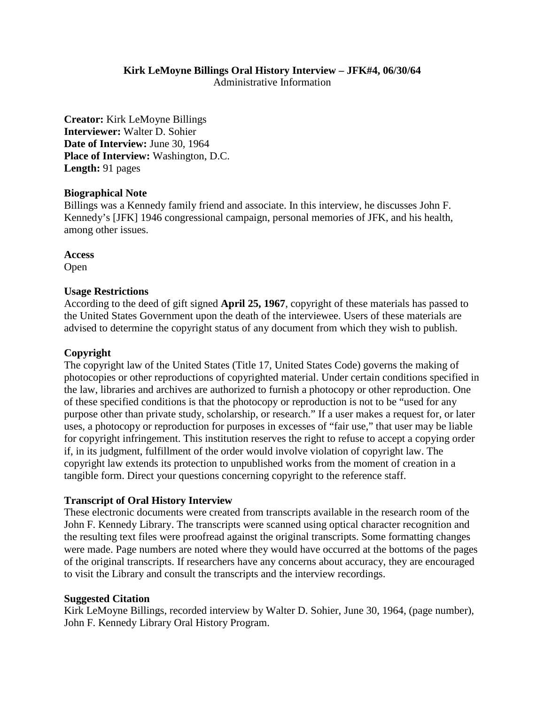## **Kirk LeMoyne Billings Oral History Interview – JFK#4, 06/30/64**

Administrative Information

**Creator:** Kirk LeMoyne Billings **Interviewer:** Walter D. Sohier **Date of Interview:** June 30, 1964 **Place of Interview:** Washington, D.C. **Length:** 91 pages

#### **Biographical Note**

Billings was a Kennedy family friend and associate. In this interview, he discusses John F. Kennedy's [JFK] 1946 congressional campaign, personal memories of JFK, and his health, among other issues.

**Access** Open

#### **Usage Restrictions**

According to the deed of gift signed **April 25, 1967**, copyright of these materials has passed to the United States Government upon the death of the interviewee. Users of these materials are advised to determine the copyright status of any document from which they wish to publish.

#### **Copyright**

The copyright law of the United States (Title 17, United States Code) governs the making of photocopies or other reproductions of copyrighted material. Under certain conditions specified in the law, libraries and archives are authorized to furnish a photocopy or other reproduction. One of these specified conditions is that the photocopy or reproduction is not to be "used for any purpose other than private study, scholarship, or research." If a user makes a request for, or later uses, a photocopy or reproduction for purposes in excesses of "fair use," that user may be liable for copyright infringement. This institution reserves the right to refuse to accept a copying order if, in its judgment, fulfillment of the order would involve violation of copyright law. The copyright law extends its protection to unpublished works from the moment of creation in a tangible form. Direct your questions concerning copyright to the reference staff.

#### **Transcript of Oral History Interview**

These electronic documents were created from transcripts available in the research room of the John F. Kennedy Library. The transcripts were scanned using optical character recognition and the resulting text files were proofread against the original transcripts. Some formatting changes were made. Page numbers are noted where they would have occurred at the bottoms of the pages of the original transcripts. If researchers have any concerns about accuracy, they are encouraged to visit the Library and consult the transcripts and the interview recordings.

#### **Suggested Citation**

Kirk LeMoyne Billings, recorded interview by Walter D. Sohier, June 30, 1964, (page number), John F. Kennedy Library Oral History Program.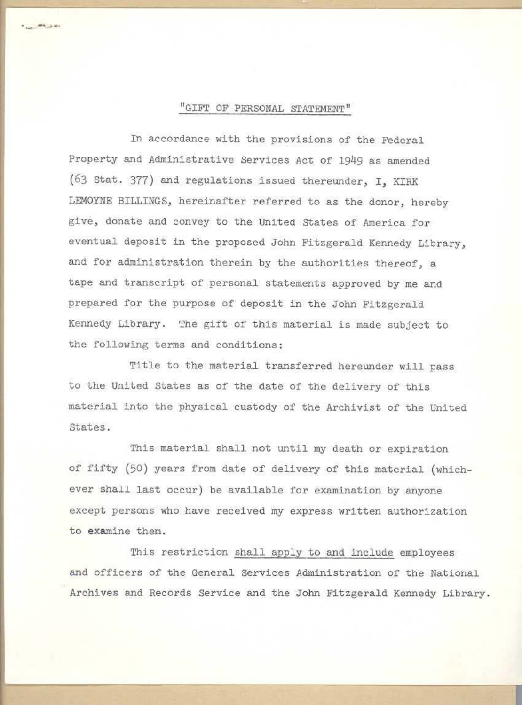#### "GIFT OF PERSONAL STATEMENT"

 $. . . . . . . . . . .$ 

In accordance with the provisions of the Federal Property and Administrative Services Act of 1949 as amended (63 Stat. 377) and regulations issued thereunder, I, KIRK LEMOYNE BILLINGS, hereinafter referred to as the donor, hereby give, donate and convey to the United states of America for eventual deposit in the proposed John Fitzgerald Kennedy Library, and for administration therein by the authorities thereof, a tape and transcript of personal statements approved by me and prepared for the purpose of deposit in the John Fitzgerald Kennedy Library. The gift of this material is made subject to the following terms and conditions:

Title to the material transferred hereunder will pass to the United States as of the date of the delivery of this material into the physical custody of the Archivist of the United States.

This material shall not until my death or expiration of fifty (50) years from date of delivery of this material (whichever shall last occur) be available for examination by anyone except persons who have received my express written authorization to examine them.

This restriction shall apply to and include employees and officers of the General Services Administration of the National Archives and Records Service and the John Fitzgerald Kennedy Library.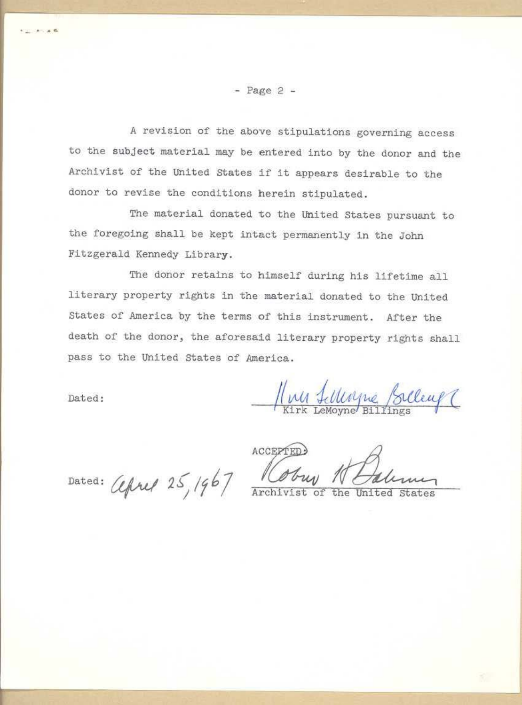- Page 2 -

A revision of the above stipulations governing access to the subject material may be entered into by the donor and the Archivist of the United states if it appears desirable to the donor to revise the conditions herein stipulated.

The material donated to the united States pursuant to the foregoing shall be kept intact permanently in the John Fitzgerald Kennedy Library.

The donor retains to himself during his lifetime all literary property rights in the material donated to the United States of America by the terms of this instrument. After the death of the donor, the aforesaid literary property rights shall pass to the United States of America.

Dated:

. . ..

<u>Muy Lillingue Silleuf</u>

Dated: *Lefted* 25, 1967 Coup

the United States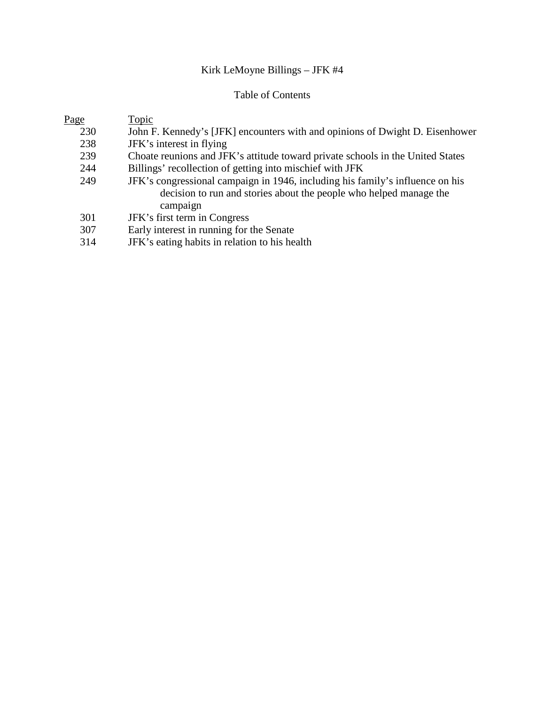## Kirk LeMoyne Billings – JFK #4

## Table of Contents

| Page | Topic                                                                          |
|------|--------------------------------------------------------------------------------|
| 230  | John F. Kennedy's [JFK] encounters with and opinions of Dwight D. Eisenhower   |
| 238  | JFK's interest in flying                                                       |
| 239  | Choate reunions and JFK's attitude toward private schools in the United States |
| 244  | Billings' recollection of getting into mischief with JFK                       |
| 249  | JFK's congressional campaign in 1946, including his family's influence on his  |
|      | decision to run and stories about the people who helped manage the             |
|      | campaign                                                                       |
| 301  | JFK's first term in Congress                                                   |
| 307  | Early interest in running for the Senate                                       |
|      |                                                                                |

314 JFK's eating habits in relation to his health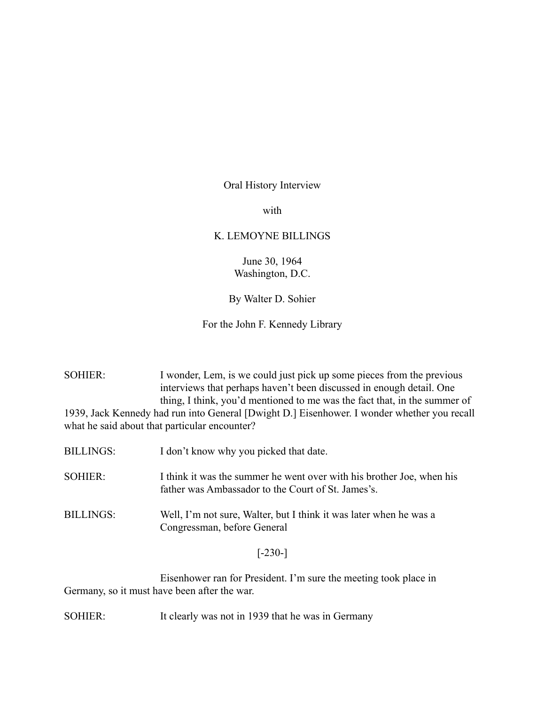#### Oral History Interview

with

#### K. LEMOYNE BILLINGS

June 30, 1964 Washington, D.C.

#### By Walter D. Sohier

#### For the John F. Kennedy Library

SOHIER: I wonder, Lem, is we could just pick up some pieces from the previous interviews that perhaps haven't been discussed in enough detail. One thing, I think, you'd mentioned to me was the fact that, in the summer of 1939, Jack Kennedy had run into General [Dwight D.] Eisenhower. I wonder whether you recall what he said about that particular encounter?

- BILLINGS: I don't know why you picked that date.
- SOHIER: I think it was the summer he went over with his brother Joe, when his father was Ambassador to the Court of St. James's.
- BILLINGS: Well, I'm not sure, Walter, but I think it was later when he was a Congressman, before General

#### $[-230-]$

Eisenhower ran for President. I'm sure the meeting took place in Germany, so it must have been after the war.

SOHIER: It clearly was not in 1939 that he was in Germany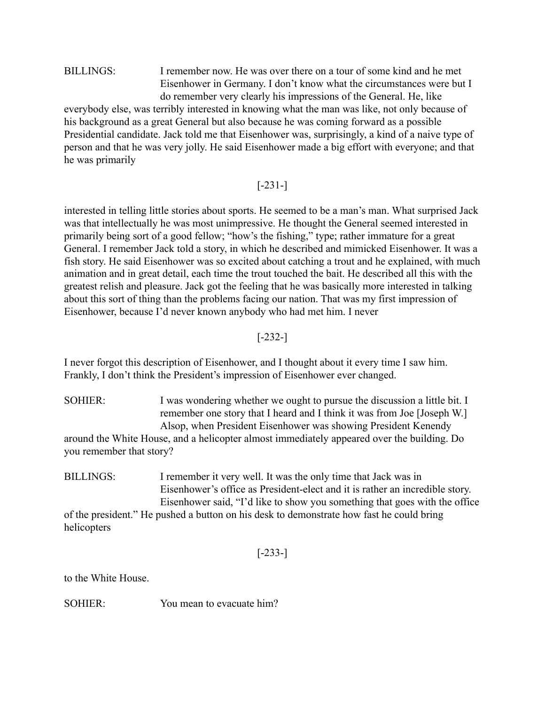BILLINGS: I remember now. He was over there on a tour of some kind and he met Eisenhower in Germany. I don't know what the circumstances were but I do remember very clearly his impressions of the General. He, like everybody else, was terribly interested in knowing what the man was like, not only because of his background as a great General but also because he was coming forward as a possible Presidential candidate. Jack told me that Eisenhower was, surprisingly, a kind of a naive type of person and that he was very jolly. He said Eisenhower made a big effort with everyone; and that

he was primarily

## [-231-]

interested in telling little stories about sports. He seemed to be a man's man. What surprised Jack was that intellectually he was most unimpressive. He thought the General seemed interested in primarily being sort of a good fellow; "how's the fishing," type; rather immature for a great General. I remember Jack told a story, in which he described and mimicked Eisenhower. It was a fish story. He said Eisenhower was so excited about catching a trout and he explained, with much animation and in great detail, each time the trout touched the bait. He described all this with the greatest relish and pleasure. Jack got the feeling that he was basically more interested in talking about this sort of thing than the problems facing our nation. That was my first impression of Eisenhower, because I'd never known anybody who had met him. I never

## [-232-]

I never forgot this description of Eisenhower, and I thought about it every time I saw him. Frankly, I don't think the President's impression of Eisenhower ever changed.

SOHIER: I was wondering whether we ought to pursue the discussion a little bit. I remember one story that I heard and I think it was from Joe [Joseph W.] Alsop, when President Eisenhower was showing President Kenendy around the White House, and a helicopter almost immediately appeared over the building. Do you remember that story?

BILLINGS: I remember it very well. It was the only time that Jack was in Eisenhower's office as President-elect and it is rather an incredible story. Eisenhower said, "I'd like to show you something that goes with the office of the president." He pushed a button on his desk to demonstrate how fast he could bring helicopters

[-233-]

to the White House.

SOHIER: You mean to evacuate him?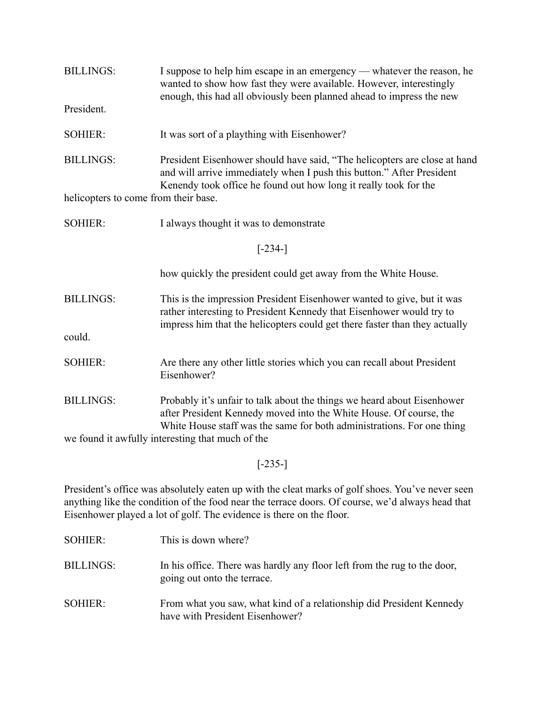| <b>BILLINGS:</b>                                 | I suppose to help him escape in an emergency — whatever the reason, he<br>wanted to show how fast they were available. However, interestingly<br>enough, this had all obviously been planned ahead to impress the new        |  |
|--------------------------------------------------|------------------------------------------------------------------------------------------------------------------------------------------------------------------------------------------------------------------------------|--|
| President.                                       |                                                                                                                                                                                                                              |  |
| <b>SOHIER:</b>                                   | It was sort of a plaything with Eisenhower?                                                                                                                                                                                  |  |
| <b>BILLINGS:</b>                                 | President Eisenhower should have said, "The helicopters are close at hand<br>and will arrive immediately when I push this button." After President<br>Kenendy took office he found out how long it really took for the       |  |
| helicopters to come from their base.             |                                                                                                                                                                                                                              |  |
| <b>SOHIER:</b>                                   | I always thought it was to demonstrate                                                                                                                                                                                       |  |
| $[-234-]$                                        |                                                                                                                                                                                                                              |  |
|                                                  | how quickly the president could get away from the White House.                                                                                                                                                               |  |
| <b>BILLINGS:</b><br>could.                       | This is the impression President Eisenhower wanted to give, but it was<br>rather interesting to President Kennedy that Eisenhower would try to<br>impress him that the helicopters could get there faster than they actually |  |
|                                                  |                                                                                                                                                                                                                              |  |
| <b>SOHIER:</b>                                   | Are there any other little stories which you can recall about President<br>Eisenhower?                                                                                                                                       |  |
| <b>BILLINGS:</b>                                 | Probably it's unfair to talk about the things we heard about Eisenhower<br>after President Kennedy moved into the White House. Of course, the<br>White House staff was the same for both administrations. For one thing      |  |
| we found it awfully interesting that much of the |                                                                                                                                                                                                                              |  |

# [-235-]

President's office was absolutely eaten up with the cleat marks of golf shoes. You've never seen anything like the condition of the food near the terrace doors. Of course, we'd always head that Eisenhower played a lot of golf. The evidence is there on the floor.

| SOHIER:          | This is down where?                                                                                     |
|------------------|---------------------------------------------------------------------------------------------------------|
| <b>BILLINGS:</b> | In his office. There was hardly any floor left from the rug to the door,<br>going out onto the terrace. |
| SOHIER:          | From what you saw, what kind of a relationship did President Kennedy<br>have with President Eisenhower? |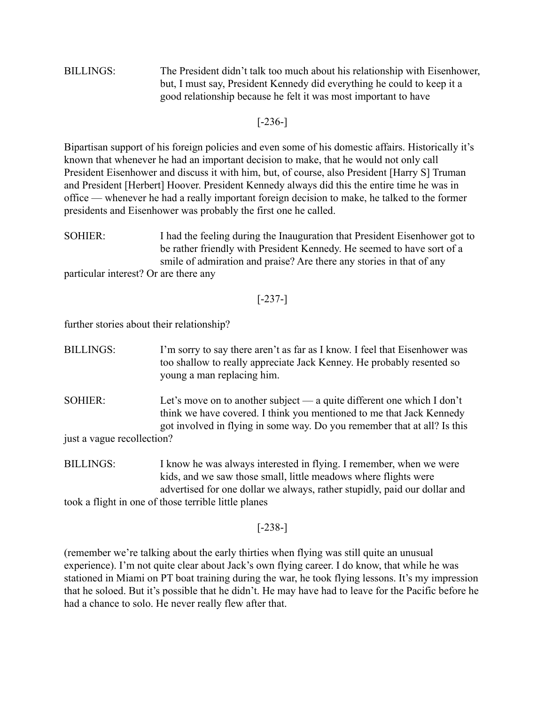BILLINGS: The President didn't talk too much about his relationship with Eisenhower, but, I must say, President Kennedy did everything he could to keep it a good relationship because he felt it was most important to have

### [-236-]

Bipartisan support of his foreign policies and even some of his domestic affairs. Historically it's known that whenever he had an important decision to make, that he would not only call President Eisenhower and discuss it with him, but, of course, also President [Harry S] Truman and President [Herbert] Hoover. President Kennedy always did this the entire time he was in office — whenever he had a really important foreign decision to make, he talked to the former presidents and Eisenhower was probably the first one he called.

- SOHIER: I had the feeling during the Inauguration that President Eisenhower got to be rather friendly with President Kennedy. He seemed to have sort of a smile of admiration and praise? Are there any stories in that of any particular interest? Or are there any
	- [-237-]

further stories about their relationship?

- BILLINGS: I'm sorry to say there aren't as far as I know. I feel that Eisenhower was too shallow to really appreciate Jack Kenney. He probably resented so young a man replacing him.
- SOHIER: Let's move on to another subject a quite different one which I don't think we have covered. I think you mentioned to me that Jack Kennedy got involved in flying in some way. Do you remember that at all? Is this

just a vague recollection?

BILLINGS: I know he was always interested in flying. I remember, when we were kids, and we saw those small, little meadows where flights were advertised for one dollar we always, rather stupidly, paid our dollar and took a flight in one of those terrible little planes

### [-238-]

(remember we're talking about the early thirties when flying was still quite an unusual experience). I'm not quite clear about Jack's own flying career. I do know, that while he was stationed in Miami on PT boat training during the war, he took flying lessons. It's my impression that he soloed. But it's possible that he didn't. He may have had to leave for the Pacific before he had a chance to solo. He never really flew after that.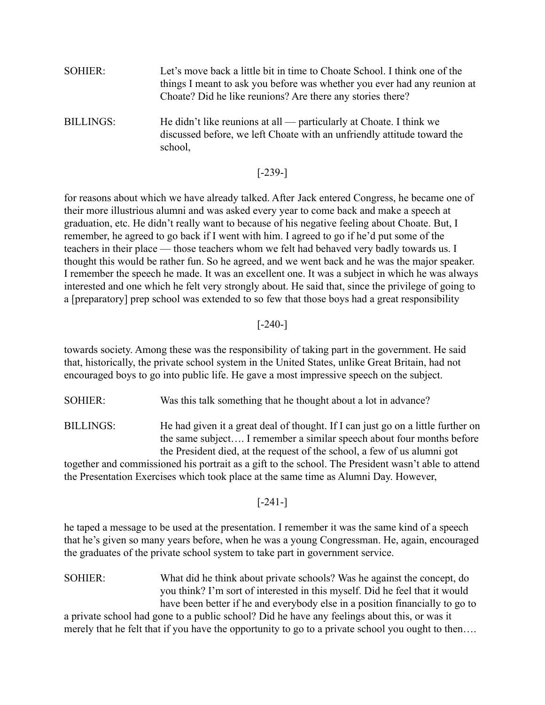SOHIER: Let's move back a little bit in time to Choate School. I think one of the things I meant to ask you before was whether you ever had any reunion at Choate? Did he like reunions? Are there any stories there? BILLINGS: He didn't like reunions at all — particularly at Choate. I think we discussed before, we left Choate with an unfriendly attitude toward the school,

#### [-239-]

for reasons about which we have already talked. After Jack entered Congress, he became one of their more illustrious alumni and was asked every year to come back and make a speech at graduation, etc. He didn't really want to because of his negative feeling about Choate. But, I remember, he agreed to go back if I went with him. I agreed to go if he'd put some of the teachers in their place — those teachers whom we felt had behaved very badly towards us. I thought this would be rather fun. So he agreed, and we went back and he was the major speaker. I remember the speech he made. It was an excellent one. It was a subject in which he was always interested and one which he felt very strongly about. He said that, since the privilege of going to a [preparatory] prep school was extended to so few that those boys had a great responsibility

### [-240-]

towards society. Among these was the responsibility of taking part in the government. He said that, historically, the private school system in the United States, unlike Great Britain, had not encouraged boys to go into public life. He gave a most impressive speech on the subject.

SOHIER: Was this talk something that he thought about a lot in advance?

BILLINGS: He had given it a great deal of thought. If I can just go on a little further on the same subject…. I remember a similar speech about four months before the President died, at the request of the school, a few of us alumni got

together and commissioned his portrait as a gift to the school. The President wasn't able to attend the Presentation Exercises which took place at the same time as Alumni Day. However,

#### [-241-]

he taped a message to be used at the presentation. I remember it was the same kind of a speech that he's given so many years before, when he was a young Congressman. He, again, encouraged the graduates of the private school system to take part in government service.

SOHIER: What did he think about private schools? Was he against the concept, do you think? I'm sort of interested in this myself. Did he feel that it would have been better if he and everybody else in a position financially to go to

a private school had gone to a public school? Did he have any feelings about this, or was it merely that he felt that if you have the opportunity to go to a private school you ought to then….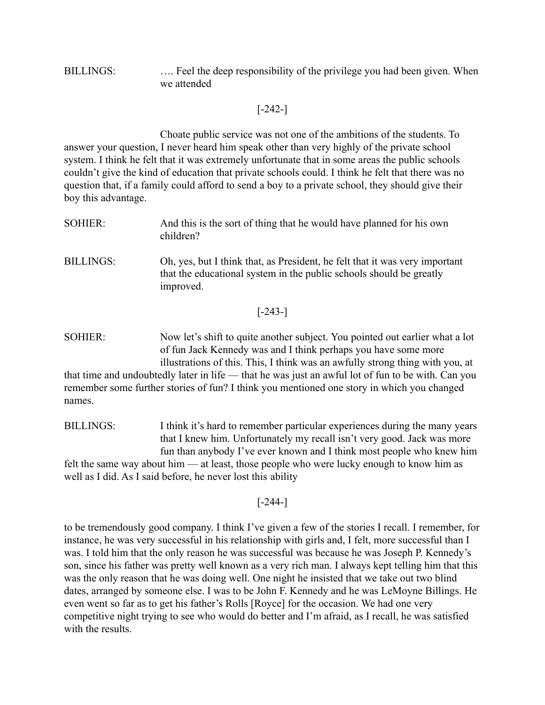### BILLINGS: .... Feel the deep responsibility of the privilege you had been given. When we attended

### [-242-]

Choate public service was not one of the ambitions of the students. To answer your question, I never heard him speak other than very highly of the private school system. I think he felt that it was extremely unfortunate that in some areas the public schools couldn't give the kind of education that private schools could. I think he felt that there was no question that, if a family could afford to send a boy to a private school, they should give their boy this advantage.

- SOHIER: And this is the sort of thing that he would have planned for his own children?
- BILLINGS: Oh, yes, but I think that, as President, he felt that it was very important that the educational system in the public schools should be greatly improved.

#### [-243-]

SOHIER: Now let's shift to quite another subject. You pointed out earlier what a lot of fun Jack Kennedy was and I think perhaps you have some more illustrations of this. This, I think was an awfully strong thing with you, at

that time and undoubtedly later in life — that he was just an awful lot of fun to be with. Can you remember some further stories of fun? I think you mentioned one story in which you changed names.

BILLINGS: I think it's hard to remember particular experiences during the many years that I knew him. Unfortunately my recall isn't very good. Jack was more fun than anybody I've ever known and I think most people who knew him felt the same way about him — at least, those people who were lucky enough to know him as well as I did. As I said before, he never lost this ability

#### [-244-]

to be tremendously good company. I think I've given a few of the stories I recall. I remember, for instance, he was very successful in his relationship with girls and, I felt, more successful than I was. I told him that the only reason he was successful was because he was Joseph P. Kennedy's son, since his father was pretty well known as a very rich man. I always kept telling him that this was the only reason that he was doing well. One night he insisted that we take out two blind dates, arranged by someone else. I was to be John F. Kennedy and he was LeMoyne Billings. He even went so far as to get his father's Rolls [Royce] for the occasion. We had one very competitive night trying to see who would do better and I'm afraid, as I recall, he was satisfied with the results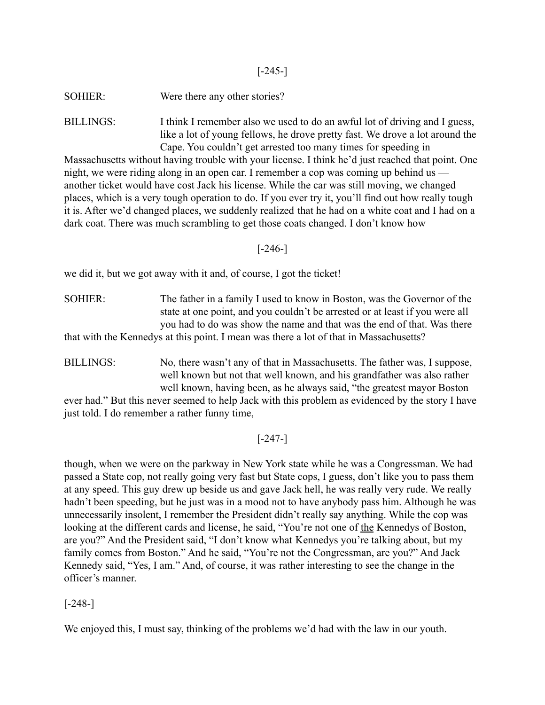### $[-245-]$

SOHIER: Were there any other stories?

BILLINGS: I think I remember also we used to do an awful lot of driving and I guess, like a lot of young fellows, he drove pretty fast. We drove a lot around the Cape. You couldn't get arrested too many times for speeding in

Massachusetts without having trouble with your license. I think he'd just reached that point. One night, we were riding along in an open car. I remember a cop was coming up behind us another ticket would have cost Jack his license. While the car was still moving, we changed places, which is a very tough operation to do. If you ever try it, you'll find out how really tough it is. After we'd changed places, we suddenly realized that he had on a white coat and I had on a dark coat. There was much scrambling to get those coats changed. I don't know how

### [-246-]

we did it, but we got away with it and, of course, I got the ticket!

SOHIER: The father in a family I used to know in Boston, was the Governor of the state at one point, and you couldn't be arrested or at least if you were all you had to do was show the name and that was the end of that. Was there that with the Kennedys at this point. I mean was there a lot of that in Massachusetts?

BILLINGS: No, there wasn't any of that in Massachusetts. The father was, I suppose, well known but not that well known, and his grandfather was also rather well known, having been, as he always said, "the greatest mayor Boston

ever had." But this never seemed to help Jack with this problem as evidenced by the story I have just told. I do remember a rather funny time,

## [-247-]

though, when we were on the parkway in New York state while he was a Congressman. We had passed a State cop, not really going very fast but State cops, I guess, don't like you to pass them at any speed. This guy drew up beside us and gave Jack hell, he was really very rude. We really hadn't been speeding, but he just was in a mood not to have anybody pass him. Although he was unnecessarily insolent, I remember the President didn't really say anything. While the cop was looking at the different cards and license, he said, "You're not one of the Kennedys of Boston, are you?" And the President said, "I don't know what Kennedys you're talking about, but my family comes from Boston." And he said, "You're not the Congressman, are you?" And Jack Kennedy said, "Yes, I am." And, of course, it was rather interesting to see the change in the officer's manner.

### [-248-]

We enjoyed this, I must say, thinking of the problems we'd had with the law in our youth.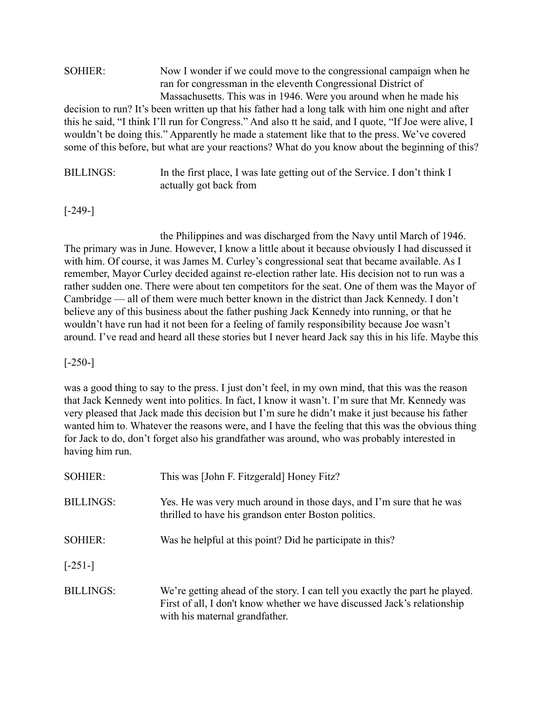| <b>SOHIER:</b> | Now I wonder if we could move to the congressional campaign when he                                    |
|----------------|--------------------------------------------------------------------------------------------------------|
|                | ran for congressman in the eleventh Congressional District of                                          |
|                | Massachusetts. This was in 1946. Were you around when he made his                                      |
|                | decision to run? It's been written up that his father had a long talk with him one night and after     |
|                | this he said, "I think I'll run for Congress." And also tt he said, and I quote, "If Joe were alive, I |
|                | wouldn't be doing this." Apparently he made a statement like that to the press. We've covered          |
|                | some of this before, but what are your reactions? What do you know about the beginning of this?        |
|                |                                                                                                        |

BILLINGS: In the first place, I was late getting out of the Service. I don't think I actually got back from

## [-249-]

the Philippines and was discharged from the Navy until March of 1946. The primary was in June. However, I know a little about it because obviously I had discussed it with him. Of course, it was James M. Curley's congressional seat that became available. As I remember, Mayor Curley decided against re-election rather late. His decision not to run was a rather sudden one. There were about ten competitors for the seat. One of them was the Mayor of Cambridge — all of them were much better known in the district than Jack Kennedy. I don't believe any of this business about the father pushing Jack Kennedy into running, or that he wouldn't have run had it not been for a feeling of family responsibility because Joe wasn't around. I've read and heard all these stories but I never heard Jack say this in his life. Maybe this

### [-250-]

was a good thing to say to the press. I just don't feel, in my own mind, that this was the reason that Jack Kennedy went into politics. In fact, I know it wasn't. I'm sure that Mr. Kennedy was very pleased that Jack made this decision but I'm sure he didn't make it just because his father wanted him to. Whatever the reasons were, and I have the feeling that this was the obvious thing for Jack to do, don't forget also his grandfather was around, who was probably interested in having him run.

| <b>SOHIER:</b>   | This was [John F. Fitzgerald] Honey Fitz?                                                                                                                                                  |
|------------------|--------------------------------------------------------------------------------------------------------------------------------------------------------------------------------------------|
| <b>BILLINGS:</b> | Yes. He was very much around in those days, and I'm sure that he was<br>thrilled to have his grandson enter Boston politics.                                                               |
| <b>SOHIER:</b>   | Was he helpful at this point? Did he participate in this?                                                                                                                                  |
| $[-251-]$        |                                                                                                                                                                                            |
| <b>BILLINGS:</b> | We're getting ahead of the story. I can tell you exactly the part he played.<br>First of all, I don't know whether we have discussed Jack's relationship<br>with his maternal grandfather. |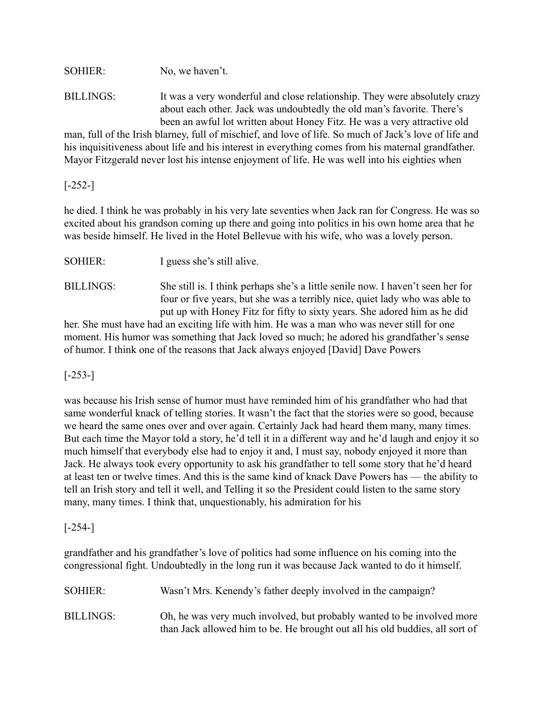SOHIER: No, we haven't.

BILLINGS: It was a very wonderful and close relationship. They were absolutely crazy about each other. Jack was undoubtedly the old man's favorite. There's been an awful lot written about Honey Fitz. He was a very attractive old

man, full of the Irish blarney, full of mischief, and love of life. So much of Jack's love of life and his inquisitiveness about life and his interest in everything comes from his maternal grandfather. Mayor Fitzgerald never lost his intense enjoyment of life. He was well into his eighties when

[-252-]

he died. I think he was probably in his very late seventies when Jack ran for Congress. He was so excited about his grandson coming up there and going into politics in his own home area that he was beside himself. He lived in the Hotel Bellevue with his wife, who was a lovely person.

| <b>SOHIER:</b> | I guess she's still alive. |
|----------------|----------------------------|
|                |                            |

BILLINGS: She still is. I think perhaps she's a little senile now. I haven't seen her for four or five years, but she was a terribly nice, quiet lady who was able to put up with Honey Fitz for fifty to sixty years. She adored him as he did her. She must have had an exciting life with him. He was a man who was never still for one

moment. His humor was something that Jack loved so much; he adored his grandfather's sense of humor. I think one of the reasons that Jack always enjoyed [David] Dave Powers

## [-253-]

was because his Irish sense of humor must have reminded him of his grandfather who had that same wonderful knack of telling stories. It wasn't the fact that the stories were so good, because we heard the same ones over and over again. Certainly Jack had heard them many, many times. But each time the Mayor told a story, he'd tell it in a different way and he'd laugh and enjoy it so much himself that everybody else had to enjoy it and, I must say, nobody enjoyed it more than Jack. He always took every opportunity to ask his grandfather to tell some story that he'd heard at least ten or twelve times. And this is the same kind of knack Dave Powers has — the ability to tell an Irish story and tell it well, and Telling it so the President could listen to the same story many, many times. I think that, unquestionably, his admiration for his

## [-254-]

grandfather and his grandfather's love of politics had some influence on his coming into the congressional fight. Undoubtedly in the long run it was because Jack wanted to do it himself.

| SOHIER:          | Wasn't Mrs. Kenendy's father deeply involved in the campaign?                                                                                          |
|------------------|--------------------------------------------------------------------------------------------------------------------------------------------------------|
| <b>BILLINGS:</b> | Oh, he was very much involved, but probably wanted to be involved more<br>than Jack allowed him to be. He brought out all his old buddies, all sort of |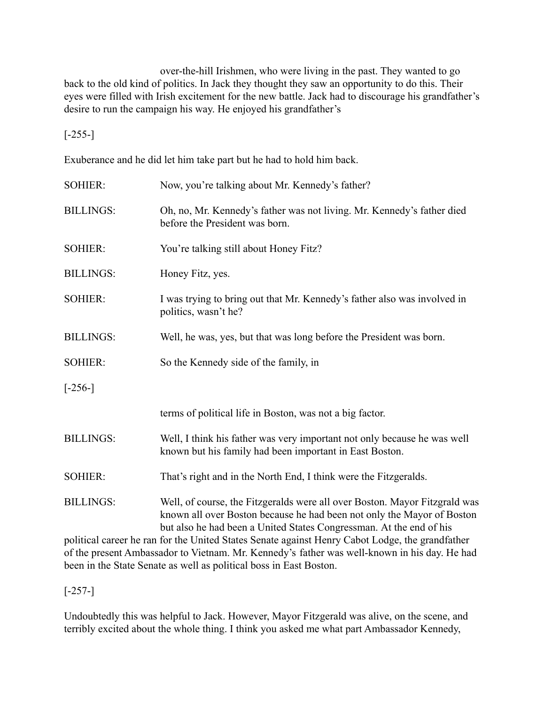over-the-hill Irishmen, who were living in the past. They wanted to go back to the old kind of politics. In Jack they thought they saw an opportunity to do this. Their eyes were filled with Irish excitement for the new battle. Jack had to discourage his grandfather's desire to run the campaign his way. He enjoyed his grandfather's

[-255-]

Exuberance and he did let him take part but he had to hold him back.

| <b>SOHIER:</b>   | Now, you're talking about Mr. Kennedy's father?                                                                                                                                                                             |
|------------------|-----------------------------------------------------------------------------------------------------------------------------------------------------------------------------------------------------------------------------|
| <b>BILLINGS:</b> | Oh, no, Mr. Kennedy's father was not living. Mr. Kennedy's father died<br>before the President was born.                                                                                                                    |
| <b>SOHIER:</b>   | You're talking still about Honey Fitz?                                                                                                                                                                                      |
| <b>BILLINGS:</b> | Honey Fitz, yes.                                                                                                                                                                                                            |
| <b>SOHIER:</b>   | I was trying to bring out that Mr. Kennedy's father also was involved in<br>politics, wasn't he?                                                                                                                            |
| <b>BILLINGS:</b> | Well, he was, yes, but that was long before the President was born.                                                                                                                                                         |
| <b>SOHIER:</b>   | So the Kennedy side of the family, in                                                                                                                                                                                       |
| $[-256-]$        |                                                                                                                                                                                                                             |
|                  | terms of political life in Boston, was not a big factor.                                                                                                                                                                    |
| <b>BILLINGS:</b> | Well, I think his father was very important not only because he was well<br>known but his family had been important in East Boston.                                                                                         |
| <b>SOHIER:</b>   | That's right and in the North End, I think were the Fitzgeralds.                                                                                                                                                            |
| <b>BILLINGS:</b> | Well, of course, the Fitzgeralds were all over Boston. Mayor Fitzgrald was<br>known all over Boston because he had been not only the Mayor of Boston<br>but also he had been a United States Congressman. At the end of his |
|                  | political career he ran for the United States Senate against Henry Cabot Lodge, the grandfather                                                                                                                             |

of the present Ambassador to Vietnam. Mr. Kennedy's father was well-known in his day. He had been in the State Senate as well as political boss in East Boston.

 $[-257-]$ 

Undoubtedly this was helpful to Jack. However, Mayor Fitzgerald was alive, on the scene, and terribly excited about the whole thing. I think you asked me what part Ambassador Kennedy,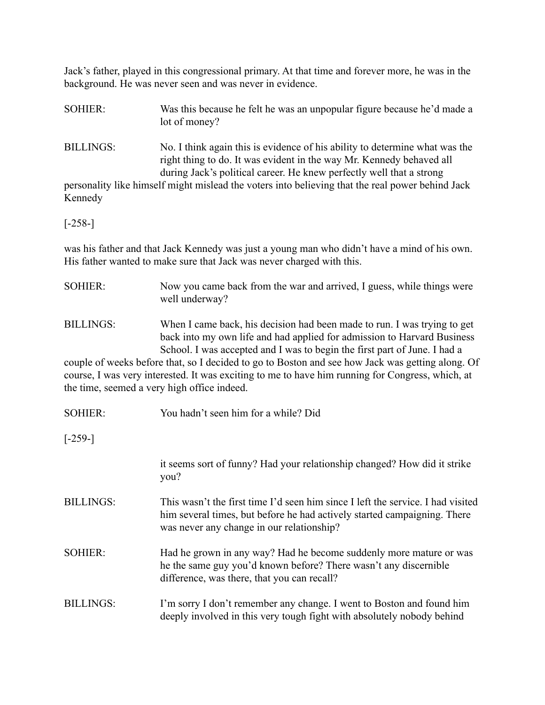Jack's father, played in this congressional primary. At that time and forever more, he was in the background. He was never seen and was never in evidence.

SOHIER: Was this because he felt he was an unpopular figure because he'd made a lot of money?

BILLINGS: No. I think again this is evidence of his ability to determine what was the right thing to do. It was evident in the way Mr. Kennedy behaved all during Jack's political career. He knew perfectly well that a strong

personality like himself might mislead the voters into believing that the real power behind Jack Kennedy

[-258-]

was his father and that Jack Kennedy was just a young man who didn't have a mind of his own. His father wanted to make sure that Jack was never charged with this.

SOHIER: Now you came back from the war and arrived, I guess, while things were well underway?

BILLINGS: When I came back, his decision had been made to run. I was trying to get back into my own life and had applied for admission to Harvard Business School. I was accepted and I was to begin the first part of June. I had a

couple of weeks before that, so I decided to go to Boston and see how Jack was getting along. Of course, I was very interested. It was exciting to me to have him running for Congress, which, at the time, seemed a very high office indeed.

| <b>SOHIER:</b>   | You hadn't seen him for a while? Did                                                                                                                                                                     |
|------------------|----------------------------------------------------------------------------------------------------------------------------------------------------------------------------------------------------------|
| $[-259-]$        |                                                                                                                                                                                                          |
|                  | it seems sort of funny? Had your relationship changed? How did it strike<br>you?                                                                                                                         |
| <b>BILLINGS:</b> | This wasn't the first time I'd seen him since I left the service. I had visited<br>him several times, but before he had actively started campaigning. There<br>was never any change in our relationship? |
| <b>SOHIER:</b>   | Had he grown in any way? Had he become suddenly more mature or was<br>he the same guy you'd known before? There wasn't any discernible<br>difference, was there, that you can recall?                    |
| <b>BILLINGS:</b> | I'm sorry I don't remember any change. I went to Boston and found him<br>deeply involved in this very tough fight with absolutely nobody behind                                                          |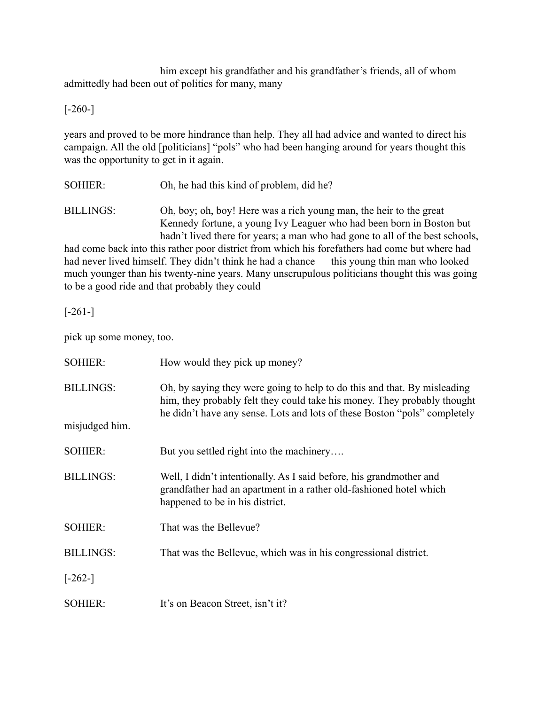him except his grandfather and his grandfather's friends, all of whom admittedly had been out of politics for many, many

[-260-]

years and proved to be more hindrance than help. They all had advice and wanted to direct his campaign. All the old [politicians] "pols" who had been hanging around for years thought this was the opportunity to get in it again.

SOHIER: Oh, he had this kind of problem, did he?

BILLINGS: Oh, boy; oh, boy! Here was a rich young man, the heir to the great Kennedy fortune, a young Ivy Leaguer who had been born in Boston but hadn't lived there for years; a man who had gone to all of the best schools,

had come back into this rather poor district from which his forefathers had come but where had had never lived himself. They didn't think he had a chance — this young thin man who looked much younger than his twenty-nine years. Many unscrupulous politicians thought this was going to be a good ride and that probably they could

 $[-261-]$ 

pick up some money, too.

| <b>SOHIER:</b>   | How would they pick up money?                                                                                                                                                                                                     |
|------------------|-----------------------------------------------------------------------------------------------------------------------------------------------------------------------------------------------------------------------------------|
| <b>BILLINGS:</b> | Oh, by saying they were going to help to do this and that. By misleading<br>him, they probably felt they could take his money. They probably thought<br>he didn't have any sense. Lots and lots of these Boston "pols" completely |
| misjudged him.   |                                                                                                                                                                                                                                   |
| <b>SOHIER:</b>   | But you settled right into the machinery                                                                                                                                                                                          |
| <b>BILLINGS:</b> | Well, I didn't intentionally. As I said before, his grandmother and<br>grandfather had an apartment in a rather old-fashioned hotel which<br>happened to be in his district.                                                      |
| <b>SOHIER:</b>   | That was the Bellevue?                                                                                                                                                                                                            |
| <b>BILLINGS:</b> | That was the Bellevue, which was in his congressional district.                                                                                                                                                                   |
| $[-262-]$        |                                                                                                                                                                                                                                   |
| <b>SOHIER:</b>   | It's on Beacon Street, isn't it?                                                                                                                                                                                                  |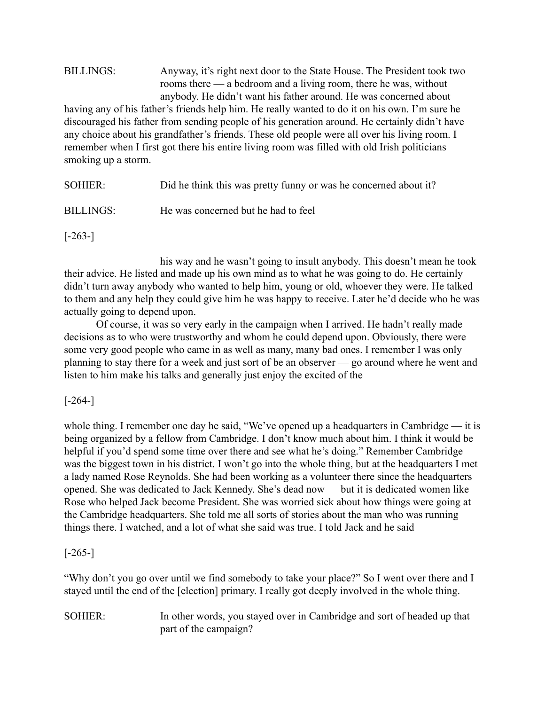### BILLINGS: Anyway, it's right next door to the State House. The President took two rooms there — a bedroom and a living room, there he was, without anybody. He didn't want his father around. He was concerned about having any of his father's friends help him. He really wanted to do it on his own. I'm sure he discouraged his father from sending people of his generation around. He certainly didn't have any choice about his grandfather's friends. These old people were all over his living room. I remember when I first got there his entire living room was filled with old Irish politicians

smoking up a storm.

| SOHIER:   | Did he think this was pretty funny or was he concerned about it? |
|-----------|------------------------------------------------------------------|
| BILLINGS: | He was concerned but he had to feel                              |

 $[-263-]$ 

his way and he wasn't going to insult anybody. This doesn't mean he took their advice. He listed and made up his own mind as to what he was going to do. He certainly didn't turn away anybody who wanted to help him, young or old, whoever they were. He talked to them and any help they could give him he was happy to receive. Later he'd decide who he was actually going to depend upon.

Of course, it was so very early in the campaign when I arrived. He hadn't really made decisions as to who were trustworthy and whom he could depend upon. Obviously, there were some very good people who came in as well as many, many bad ones. I remember I was only planning to stay there for a week and just sort of be an observer — go around where he went and listen to him make his talks and generally just enjoy the excited of the

[-264-]

whole thing. I remember one day he said, "We've opened up a headquarters in Cambridge — it is being organized by a fellow from Cambridge. I don't know much about him. I think it would be helpful if you'd spend some time over there and see what he's doing." Remember Cambridge was the biggest town in his district. I won't go into the whole thing, but at the headquarters I met a lady named Rose Reynolds. She had been working as a volunteer there since the headquarters opened. She was dedicated to Jack Kennedy. She's dead now — but it is dedicated women like Rose who helped Jack become President. She was worried sick about how things were going at the Cambridge headquarters. She told me all sorts of stories about the man who was running things there. I watched, and a lot of what she said was true. I told Jack and he said

## $[-265-]$

"Why don't you go over until we find somebody to take your place?" So I went over there and I stayed until the end of the [election] primary. I really got deeply involved in the whole thing.

SOHIER: In other words, you stayed over in Cambridge and sort of headed up that part of the campaign?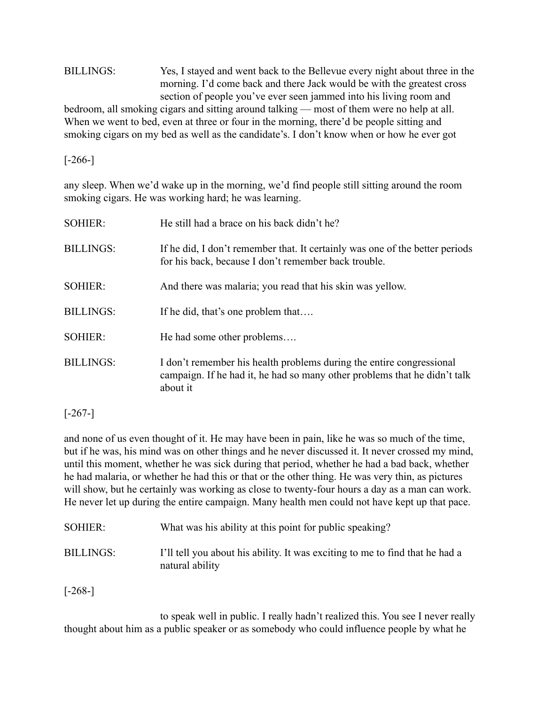## BILLINGS: Yes, I stayed and went back to the Bellevue every night about three in the morning. I'd come back and there Jack would be with the greatest cross section of people you've ever seen jammed into his living room and bedroom, all smoking cigars and sitting around talking — most of them were no help at all. When we went to bed, even at three or four in the morning, there'd be people sitting and smoking cigars on my bed as well as the candidate's. I don't know when or how he ever got

[-266-]

any sleep. When we'd wake up in the morning, we'd find people still sitting around the room smoking cigars. He was working hard; he was learning.

| <b>SOHIER:</b>   | He still had a brace on his back didn't he?                                                                                                                   |
|------------------|---------------------------------------------------------------------------------------------------------------------------------------------------------------|
| <b>BILLINGS:</b> | If he did, I don't remember that. It certainly was one of the better periods<br>for his back, because I don't remember back trouble.                          |
| <b>SOHIER:</b>   | And there was malaria; you read that his skin was yellow.                                                                                                     |
| <b>BILLINGS:</b> | If he did, that's one problem that                                                                                                                            |
| <b>SOHIER:</b>   | He had some other problems                                                                                                                                    |
| <b>BILLINGS:</b> | I don't remember his health problems during the entire congressional<br>campaign. If he had it, he had so many other problems that he didn't talk<br>about it |

[-267-]

and none of us even thought of it. He may have been in pain, like he was so much of the time, but if he was, his mind was on other things and he never discussed it. It never crossed my mind, until this moment, whether he was sick during that period, whether he had a bad back, whether he had malaria, or whether he had this or that or the other thing. He was very thin, as pictures will show, but he certainly was working as close to twenty-four hours a day as a man can work. He never let up during the entire campaign. Many health men could not have kept up that pace.

| <b>SOHIER:</b>   | What was his ability at this point for public speaking?                                         |
|------------------|-------------------------------------------------------------------------------------------------|
| <b>BILLINGS:</b> | I'll tell you about his ability. It was exciting to me to find that he had a<br>natural ability |

[-268-]

to speak well in public. I really hadn't realized this. You see I never really thought about him as a public speaker or as somebody who could influence people by what he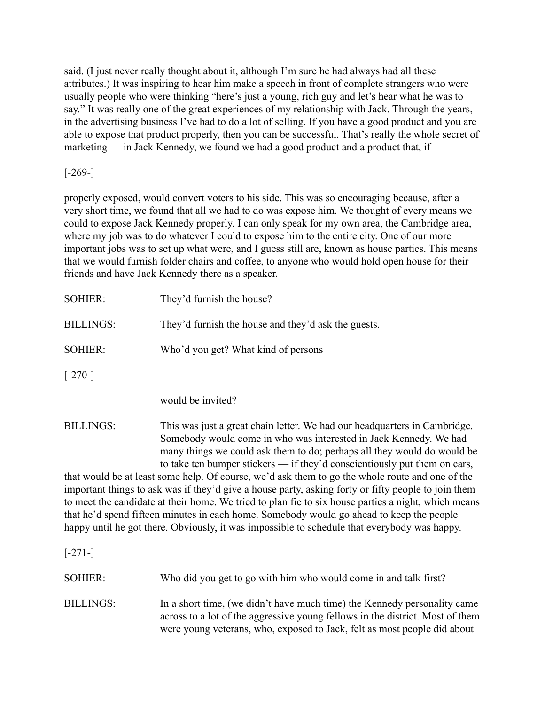said. (I just never really thought about it, although I'm sure he had always had all these attributes.) It was inspiring to hear him make a speech in front of complete strangers who were usually people who were thinking "here's just a young, rich guy and let's hear what he was to say." It was really one of the great experiences of my relationship with Jack. Through the years, in the advertising business I've had to do a lot of selling. If you have a good product and you are able to expose that product properly, then you can be successful. That's really the whole secret of marketing — in Jack Kennedy, we found we had a good product and a product that, if

## $[-269-]$

properly exposed, would convert voters to his side. This was so encouraging because, after a very short time, we found that all we had to do was expose him. We thought of every means we could to expose Jack Kennedy properly. I can only speak for my own area, the Cambridge area, where my job was to do whatever I could to expose him to the entire city. One of our more important jobs was to set up what were, and I guess still are, known as house parties. This means that we would furnish folder chairs and coffee, to anyone who would hold open house for their friends and have Jack Kennedy there as a speaker.

| <b>SOHIER:</b>   | They'd furnish the house?                                                                                                                                                                                                 |
|------------------|---------------------------------------------------------------------------------------------------------------------------------------------------------------------------------------------------------------------------|
| <b>BILLINGS:</b> | They'd furnish the house and they'd ask the guests.                                                                                                                                                                       |
| <b>SOHIER:</b>   | Who'd you get? What kind of persons                                                                                                                                                                                       |
| $[-270-]$        |                                                                                                                                                                                                                           |
|                  | would be invited?                                                                                                                                                                                                         |
| <b>BILLINGS:</b> | This was just a great chain letter. We had our headquarters in Cambridge.<br>Somebody would come in who was interested in Jack Kennedy. We had<br>many things we could ask them to do; perhaps all they would do would be |

to take ten bumper stickers — if they'd conscientiously put them on cars, that would be at least some help. Of course, we'd ask them to go the whole route and one of the important things to ask was if they'd give a house party, asking forty or fifty people to join them to meet the candidate at their home. We tried to plan fie to six house parties a night, which means that he'd spend fifteen minutes in each home. Somebody would go ahead to keep the people happy until he got there. Obviously, it was impossible to schedule that everybody was happy.

[-271-]

| SOHIER:   | Who did you get to go with him who would come in and talk first?                                                                                                                                                                      |
|-----------|---------------------------------------------------------------------------------------------------------------------------------------------------------------------------------------------------------------------------------------|
| BILLINGS: | In a short time, (we didn't have much time) the Kennedy personality came<br>across to a lot of the aggressive young fellows in the district. Most of them<br>were young veterans, who, exposed to Jack, felt as most people did about |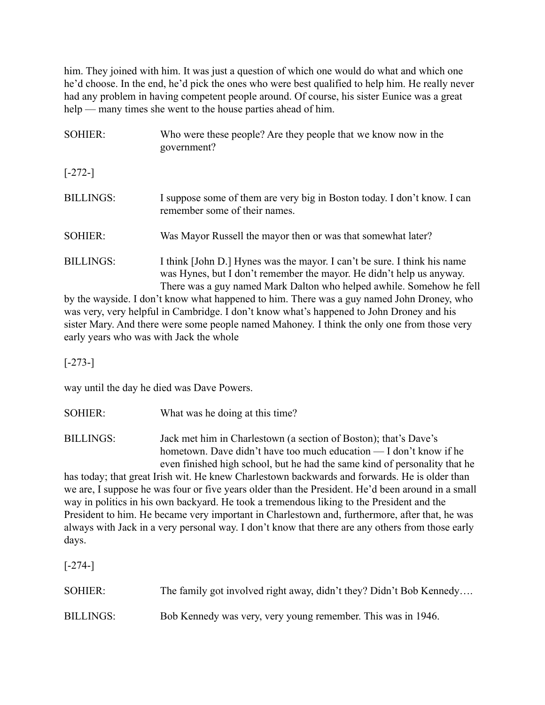him. They joined with him. It was just a question of which one would do what and which one he'd choose. In the end, he'd pick the ones who were best qualified to help him. He really never had any problem in having competent people around. Of course, his sister Eunice was a great help — many times she went to the house parties ahead of him.

| <b>SOHIER:</b>   | Who were these people? Are they people that we know now in the<br>government?                                                                                                                                            |
|------------------|--------------------------------------------------------------------------------------------------------------------------------------------------------------------------------------------------------------------------|
| $[-272-]$        |                                                                                                                                                                                                                          |
| <b>BILLINGS:</b> | I suppose some of them are very big in Boston today. I don't know. I can<br>remember some of their names.                                                                                                                |
| <b>SOHIER:</b>   | Was Mayor Russell the mayor then or was that somewhat later?                                                                                                                                                             |
| <b>BILLINGS:</b> | I think [John D.] Hynes was the mayor. I can't be sure. I think his name<br>was Hynes, but I don't remember the mayor. He didn't help us anyway.<br>There was a guy named Mark Dalton who helped awhile. Somehow he fell |
|                  | by the waveide I don't know what hannened to him There was a guy named John Droney who                                                                                                                                   |

by the wayside. I don't know what happened to him. There was a guy named John Droney, who was very, very helpful in Cambridge. I don't know what's happened to John Droney and his sister Mary. And there were some people named Mahoney. I think the only one from those very early years who was with Jack the whole

[-273-]

way until the day he died was Dave Powers.

SOHIER: What was he doing at this time?

BILLINGS: Jack met him in Charlestown (a section of Boston); that's Dave's hometown. Dave didn't have too much education — I don't know if he even finished high school, but he had the same kind of personality that he

has today; that great Irish wit. He knew Charlestown backwards and forwards. He is older than we are, I suppose he was four or five years older than the President. He'd been around in a small way in politics in his own backyard. He took a tremendous liking to the President and the President to him. He became very important in Charlestown and, furthermore, after that, he was always with Jack in a very personal way. I don't know that there are any others from those early days.

[-274-]

| <b>SOHIER:</b>   | The family got involved right away, didn't they? Didn't Bob Kennedy |
|------------------|---------------------------------------------------------------------|
| <b>BILLINGS:</b> | Bob Kennedy was very, very young remember. This was in 1946.        |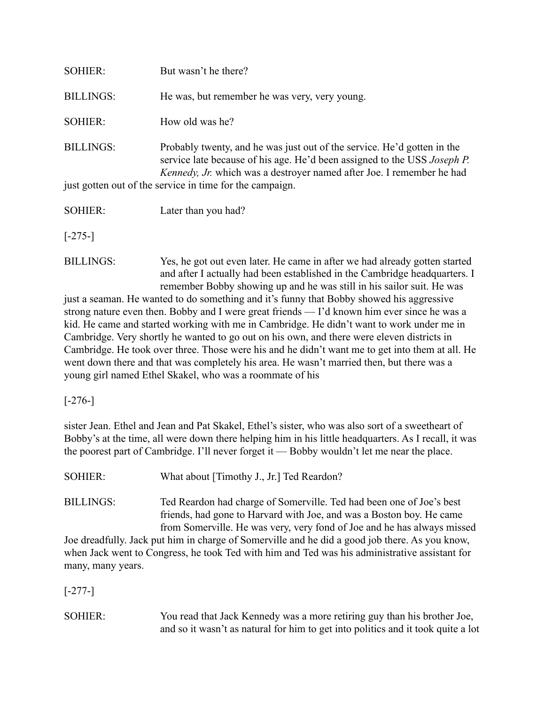| <b>SOHIER:</b>                                           | But wasn't he there?                                                                                                                                                                                                         |  |
|----------------------------------------------------------|------------------------------------------------------------------------------------------------------------------------------------------------------------------------------------------------------------------------------|--|
| <b>BILLINGS:</b>                                         | He was, but remember he was very, very young.                                                                                                                                                                                |  |
| <b>SOHIER:</b>                                           | How old was he?                                                                                                                                                                                                              |  |
| <b>BILLINGS:</b>                                         | Probably twenty, and he was just out of the service. He'd gotten in the<br>service late because of his age. He'd been assigned to the USS Joseph P.<br>Kennedy, Jr. which was a destroyer named after Joe. I remember he had |  |
| just gotten out of the service in time for the campaign. |                                                                                                                                                                                                                              |  |
| <b>SOHIER:</b>                                           | Later than you had?                                                                                                                                                                                                          |  |
| $[-275-]$                                                |                                                                                                                                                                                                                              |  |

BILLINGS: Yes, he got out even later. He came in after we had already gotten started and after I actually had been established in the Cambridge headquarters. I remember Bobby showing up and he was still in his sailor suit. He was

just a seaman. He wanted to do something and it's funny that Bobby showed his aggressive strong nature even then. Bobby and I were great friends — I'd known him ever since he was a kid. He came and started working with me in Cambridge. He didn't want to work under me in Cambridge. Very shortly he wanted to go out on his own, and there were eleven districts in Cambridge. He took over three. Those were his and he didn't want me to get into them at all. He went down there and that was completely his area. He wasn't married then, but there was a young girl named Ethel Skakel, who was a roommate of his

[-276-]

sister Jean. Ethel and Jean and Pat Skakel, Ethel's sister, who was also sort of a sweetheart of Bobby's at the time, all were down there helping him in his little headquarters. As I recall, it was the poorest part of Cambridge. I'll never forget it — Bobby wouldn't let me near the place.

SOHIER: What about [Timothy J., Jr.] Ted Reardon?

BILLINGS: Ted Reardon had charge of Somerville. Ted had been one of Joe's best friends, had gone to Harvard with Joe, and was a Boston boy. He came from Somerville. He was very, very fond of Joe and he has always missed

Joe dreadfully. Jack put him in charge of Somerville and he did a good job there. As you know, when Jack went to Congress, he took Ted with him and Ted was his administrative assistant for many, many years.

[-277-]

SOHIER: You read that Jack Kennedy was a more retiring guy than his brother Joe, and so it wasn't as natural for him to get into politics and it took quite a lot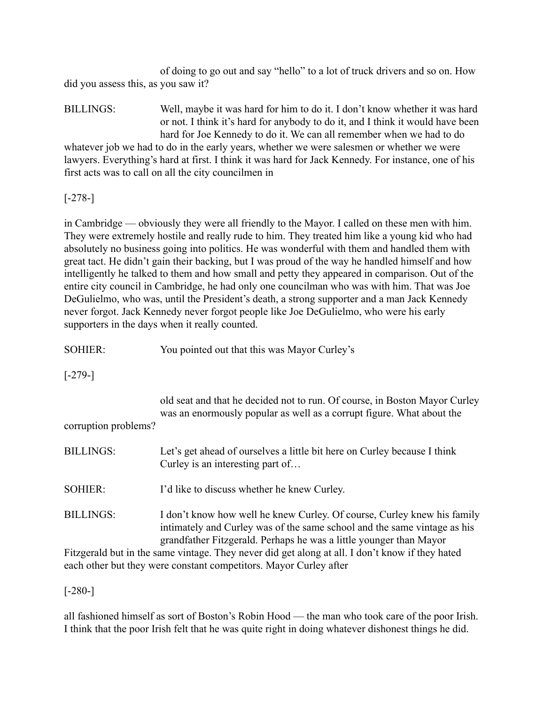of doing to go out and say "hello" to a lot of truck drivers and so on. How did you assess this, as you saw it?

BILLINGS: Well, maybe it was hard for him to do it. I don't know whether it was hard or not. I think it's hard for anybody to do it, and I think it would have been hard for Joe Kennedy to do it. We can all remember when we had to do whatever job we had to do in the early years, whether we were salesmen or whether we were

lawyers. Everything's hard at first. I think it was hard for Jack Kennedy. For instance, one of his first acts was to call on all the city councilmen in

[-278-]

in Cambridge — obviously they were all friendly to the Mayor. I called on these men with him. They were extremely hostile and really rude to him. They treated him like a young kid who had absolutely no business going into politics. He was wonderful with them and handled them with great tact. He didn't gain their backing, but I was proud of the way he handled himself and how intelligently he talked to them and how small and petty they appeared in comparison. Out of the entire city council in Cambridge, he had only one councilman who was with him. That was Joe DeGulielmo, who was, until the President's death, a strong supporter and a man Jack Kennedy never forgot. Jack Kennedy never forgot people like Joe DeGulielmo, who were his early supporters in the days when it really counted.

SOHIER: You pointed out that this was Mayor Curley's

[-279-]

old seat and that he decided not to run. Of course, in Boston Mayor Curley was an enormously popular as well as a corrupt figure. What about the

corruption problems?

| <b>BILLINGS:</b> | Let's get ahead of ourselves a little bit here on Curley because I think |
|------------------|--------------------------------------------------------------------------|
|                  | Curley is an interesting part of                                         |

SOHIER: I'd like to discuss whether he knew Curley.

BILLINGS: I don't know how well he knew Curley. Of course, Curley knew his family intimately and Curley was of the same school and the same vintage as his grandfather Fitzgerald. Perhaps he was a little younger than Mayor

Fitzgerald but in the same vintage. They never did get along at all. I don't know if they hated each other but they were constant competitors. Mayor Curley after

[-280-]

all fashioned himself as sort of Boston's Robin Hood — the man who took care of the poor Irish. I think that the poor Irish felt that he was quite right in doing whatever dishonest things he did.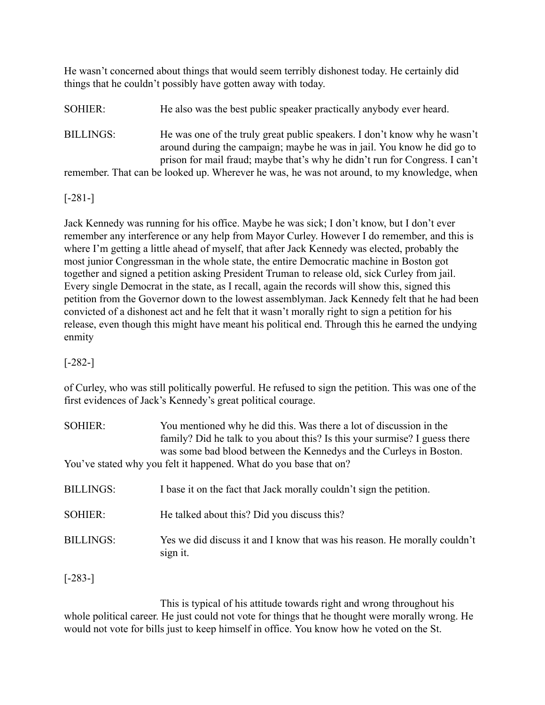He wasn't concerned about things that would seem terribly dishonest today. He certainly did things that he couldn't possibly have gotten away with today.

SOHIER: He also was the best public speaker practically anybody ever heard.

BILLINGS: He was one of the truly great public speakers. I don't know why he wasn't around during the campaign; maybe he was in jail. You know he did go to prison for mail fraud; maybe that's why he didn't run for Congress. I can't remember. That can be looked up. Wherever he was, he was not around, to my knowledge, when

[-281-]

Jack Kennedy was running for his office. Maybe he was sick; I don't know, but I don't ever remember any interference or any help from Mayor Curley. However I do remember, and this is where I'm getting a little ahead of myself, that after Jack Kennedy was elected, probably the most junior Congressman in the whole state, the entire Democratic machine in Boston got together and signed a petition asking President Truman to release old, sick Curley from jail. Every single Democrat in the state, as I recall, again the records will show this, signed this petition from the Governor down to the lowest assemblyman. Jack Kennedy felt that he had been convicted of a dishonest act and he felt that it wasn't morally right to sign a petition for his release, even though this might have meant his political end. Through this he earned the undying enmity

[-282-]

of Curley, who was still politically powerful. He refused to sign the petition. This was one of the first evidences of Jack's Kennedy's great political courage.

| <b>SOHIER:</b>   | You mentioned why he did this. Was there a lot of discussion in the<br>family? Did he talk to you about this? Is this your surmise? I guess there<br>was some bad blood between the Kennedys and the Curleys in Boston. |
|------------------|-------------------------------------------------------------------------------------------------------------------------------------------------------------------------------------------------------------------------|
|                  | You've stated why you felt it happened. What do you base that on?                                                                                                                                                       |
| <b>BILLINGS:</b> | I base it on the fact that Jack morally couldn't sign the petition.                                                                                                                                                     |
| <b>SOHIER:</b>   | He talked about this? Did you discuss this?                                                                                                                                                                             |
| <b>BILLINGS:</b> | Yes we did discuss it and I know that was his reason. He morally couldn't<br>sign it.                                                                                                                                   |

[-283-]

This is typical of his attitude towards right and wrong throughout his whole political career. He just could not vote for things that he thought were morally wrong. He would not vote for bills just to keep himself in office. You know how he voted on the St.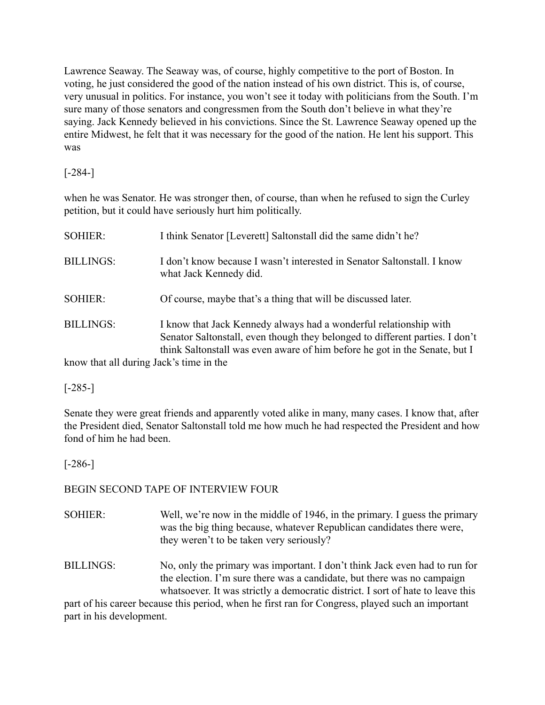Lawrence Seaway. The Seaway was, of course, highly competitive to the port of Boston. In voting, he just considered the good of the nation instead of his own district. This is, of course, very unusual in politics. For instance, you won't see it today with politicians from the South. I'm sure many of those senators and congressmen from the South don't believe in what they're saying. Jack Kennedy believed in his convictions. Since the St. Lawrence Seaway opened up the entire Midwest, he felt that it was necessary for the good of the nation. He lent his support. This was

[-284-]

when he was Senator. He was stronger then, of course, than when he refused to sign the Curley petition, but it could have seriously hurt him politically.

| <b>SOHIER:</b>                          | I think Senator [Leverett] Saltonstall did the same didn't he?                                                                                                                                                                  |
|-----------------------------------------|---------------------------------------------------------------------------------------------------------------------------------------------------------------------------------------------------------------------------------|
| <b>BILLINGS:</b>                        | I don't know because I wasn't interested in Senator Saltonstall. I know<br>what Jack Kennedy did.                                                                                                                               |
| <b>SOHIER:</b>                          | Of course, maybe that's a thing that will be discussed later.                                                                                                                                                                   |
| <b>BILLINGS:</b>                        | I know that Jack Kennedy always had a wonderful relationship with<br>Senator Saltonstall, even though they belonged to different parties. I don't<br>think Saltonstall was even aware of him before he got in the Senate, but I |
| know that all during Jack's time in the |                                                                                                                                                                                                                                 |

know that all during Jack's time in the

## [-285-]

Senate they were great friends and apparently voted alike in many, many cases. I know that, after the President died, Senator Saltonstall told me how much he had respected the President and how fond of him he had been.

[-286-]

## BEGIN SECOND TAPE OF INTERVIEW FOUR

- SOHIER: Well, we're now in the middle of 1946, in the primary. I guess the primary was the big thing because, whatever Republican candidates there were, they weren't to be taken very seriously?
- BILLINGS: No, only the primary was important. I don't think Jack even had to run for the election. I'm sure there was a candidate, but there was no campaign whatsoever. It was strictly a democratic district. I sort of hate to leave this

part of his career because this period, when he first ran for Congress, played such an important part in his development.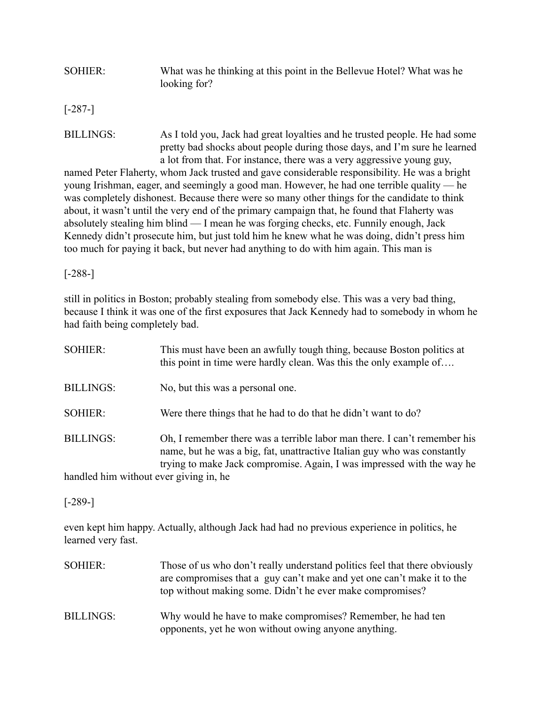## SOHIER: What was he thinking at this point in the Bellevue Hotel? What was he looking for?

[-287-]

BILLINGS: As I told you, Jack had great loyalties and he trusted people. He had some pretty bad shocks about people during those days, and I'm sure he learned a lot from that. For instance, there was a very aggressive young guy,

named Peter Flaherty, whom Jack trusted and gave considerable responsibility. He was a bright young Irishman, eager, and seemingly a good man. However, he had one terrible quality — he was completely dishonest. Because there were so many other things for the candidate to think about, it wasn't until the very end of the primary campaign that, he found that Flaherty was absolutely stealing him blind — I mean he was forging checks, etc. Funnily enough, Jack Kennedy didn't prosecute him, but just told him he knew what he was doing, didn't press him too much for paying it back, but never had anything to do with him again. This man is

## [-288-]

still in politics in Boston; probably stealing from somebody else. This was a very bad thing, because I think it was one of the first exposures that Jack Kennedy had to somebody in whom he had faith being completely bad.

| <b>SOHIER:</b>                        | This must have been an awfully tough thing, because Boston politics at<br>this point in time were hardly clean. Was this the only example of                                                                                    |
|---------------------------------------|---------------------------------------------------------------------------------------------------------------------------------------------------------------------------------------------------------------------------------|
| <b>BILLINGS:</b>                      | No, but this was a personal one.                                                                                                                                                                                                |
| <b>SOHIER:</b>                        | Were there things that he had to do that he didn't want to do?                                                                                                                                                                  |
| <b>BILLINGS:</b>                      | Oh, I remember there was a terrible labor man there. I can't remember his<br>name, but he was a big, fat, unattractive Italian guy who was constantly<br>trying to make Jack compromise. Again, I was impressed with the way he |
| handled him without ever giving in he |                                                                                                                                                                                                                                 |

handled him without ever giving in, he

### [-289-]

even kept him happy. Actually, although Jack had had no previous experience in politics, he learned very fast.

| <b>SOHIER:</b>   | Those of us who don't really understand politics feel that there obviously<br>are compromises that a guy can't make and yet one can't make it to the<br>top without making some. Didn't he ever make compromises? |
|------------------|-------------------------------------------------------------------------------------------------------------------------------------------------------------------------------------------------------------------|
| <b>BILLINGS:</b> | Why would he have to make compromises? Remember, he had ten<br>opponents, yet he won without owing anyone anything.                                                                                               |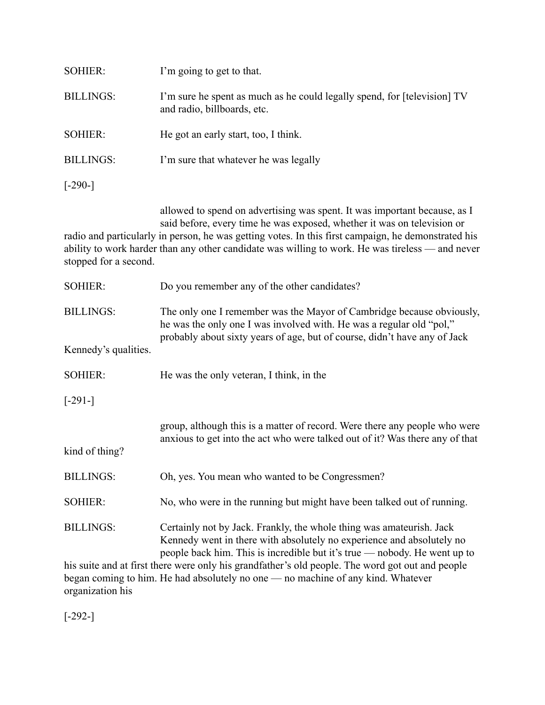| <b>SOHIER:</b>   | I'm going to get to that.                                                                                                                                                                                                                                                                                                                                       |
|------------------|-----------------------------------------------------------------------------------------------------------------------------------------------------------------------------------------------------------------------------------------------------------------------------------------------------------------------------------------------------------------|
| <b>BILLINGS:</b> | I'm sure he spent as much as he could legally spend, for [television] TV<br>and radio, billboards, etc.                                                                                                                                                                                                                                                         |
| <b>SOHIER:</b>   | He got an early start, too, I think.                                                                                                                                                                                                                                                                                                                            |
| <b>BILLINGS:</b> | I'm sure that whatever he was legally                                                                                                                                                                                                                                                                                                                           |
| $[-290-]$        |                                                                                                                                                                                                                                                                                                                                                                 |
|                  | allowed to spend on advertising was spent. It was important because, as I<br>said before, every time he was exposed, whether it was on television or<br>radio and particularly in person, he was getting votes. In this first campaign, he demonstrated his<br>ability to work harder than any other candidate was willing to work. He was tireless — and never |

| stopped for a second. |  |
|-----------------------|--|
|-----------------------|--|

| <b>SOHIER:</b>                                                                                   | Do you remember any of the other candidates?                                                                                                                                                                               |
|--------------------------------------------------------------------------------------------------|----------------------------------------------------------------------------------------------------------------------------------------------------------------------------------------------------------------------------|
| <b>BILLINGS:</b>                                                                                 | The only one I remember was the Mayor of Cambridge because obviously,<br>he was the only one I was involved with. He was a regular old "pol,"<br>probably about sixty years of age, but of course, didn't have any of Jack |
| Kennedy's qualities.                                                                             |                                                                                                                                                                                                                            |
| <b>SOHIER:</b>                                                                                   | He was the only veteran, I think, in the                                                                                                                                                                                   |
| $[-291-]$                                                                                        |                                                                                                                                                                                                                            |
|                                                                                                  | group, although this is a matter of record. Were there any people who were<br>anxious to get into the act who were talked out of it? Was there any of that                                                                 |
| kind of thing?                                                                                   |                                                                                                                                                                                                                            |
| <b>BILLINGS:</b>                                                                                 | Oh, yes. You mean who wanted to be Congressmen?                                                                                                                                                                            |
| <b>SOHIER:</b>                                                                                   | No, who were in the running but might have been talked out of running.                                                                                                                                                     |
| <b>BILLINGS:</b>                                                                                 | Certainly not by Jack. Frankly, the whole thing was amateurish. Jack<br>Kennedy went in there with absolutely no experience and absolutely no<br>people back him. This is incredible but it's true — nobody. He went up to |
| his suite and at first there were only his grandfather's old people. The word got out and people |                                                                                                                                                                                                                            |

his suite and at first there were only his grandfather's old people. The word got out and people began coming to him. He had absolutely no one — no machine of any kind. Whatever organization his

[-292-]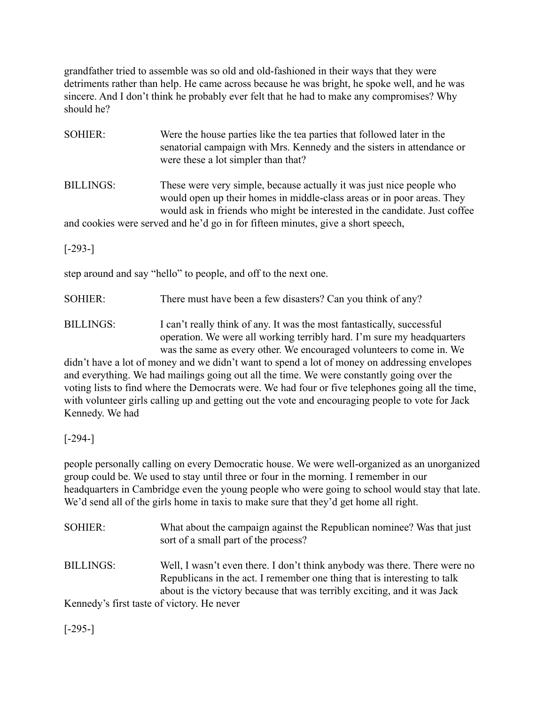grandfather tried to assemble was so old and old-fashioned in their ways that they were detriments rather than help. He came across because he was bright, he spoke well, and he was sincere. And I don't think he probably ever felt that he had to make any compromises? Why should he?

| <b>SOHIER:</b>                                                                   | Were the house parties like the tea parties that followed later in the<br>senatorial campaign with Mrs. Kennedy and the sisters in attendance or<br>were these a lot simpler than that?                                      |  |
|----------------------------------------------------------------------------------|------------------------------------------------------------------------------------------------------------------------------------------------------------------------------------------------------------------------------|--|
| <b>BILLINGS:</b>                                                                 | These were very simple, because actually it was just nice people who<br>would open up their homes in middle-class areas or in poor areas. They<br>would ask in friends who might be interested in the candidate. Just coffee |  |
| and cookies were served and he'd go in for fifteen minutes, give a short speech, |                                                                                                                                                                                                                              |  |
| $[-293-]$                                                                        |                                                                                                                                                                                                                              |  |
| step around and say "hello" to people, and off to the next one.                  |                                                                                                                                                                                                                              |  |
| <b>SOHIER:</b>                                                                   | There must have been a few disasters? Can you think of any?                                                                                                                                                                  |  |
|                                                                                  |                                                                                                                                                                                                                              |  |

BILLINGS: I can't really think of any. It was the most fantastically, successful operation. We were all working terribly hard. I'm sure my headquarters was the same as every other. We encouraged volunteers to come in. We

didn't have a lot of money and we didn't want to spend a lot of money on addressing envelopes and everything. We had mailings going out all the time. We were constantly going over the voting lists to find where the Democrats were. We had four or five telephones going all the time, with volunteer girls calling up and getting out the vote and encouraging people to vote for Jack Kennedy. We had

[-294-]

people personally calling on every Democratic house. We were well-organized as an unorganized group could be. We used to stay until three or four in the morning. I remember in our headquarters in Cambridge even the young people who were going to school would stay that late. We'd send all of the girls home in taxis to make sure that they'd get home all right.

| <b>SOHIER:</b>                             | What about the campaign against the Republican nomines? Was that just<br>sort of a small part of the process?                                                                                                                     |
|--------------------------------------------|-----------------------------------------------------------------------------------------------------------------------------------------------------------------------------------------------------------------------------------|
| <b>BILLINGS:</b>                           | Well, I wasn't even there. I don't think anybody was there. There were no<br>Republicans in the act. I remember one thing that is interesting to talk<br>about is the victory because that was terribly exciting, and it was Jack |
| Kennedy's first taste of victory. He never |                                                                                                                                                                                                                                   |

 $[-295-]$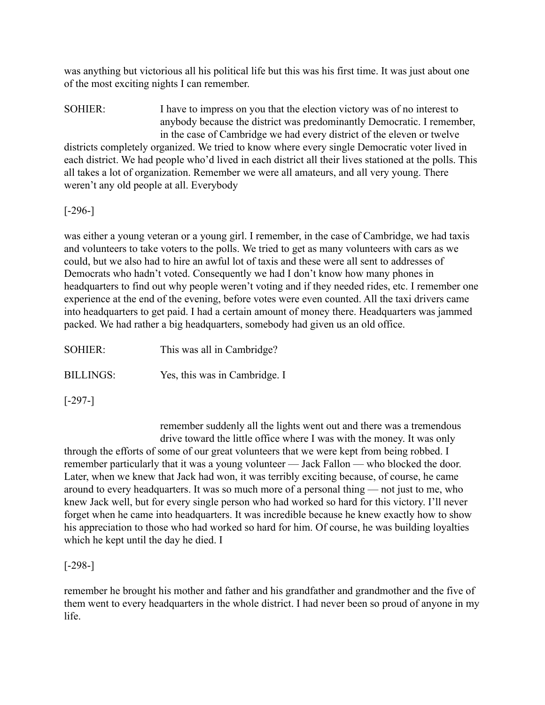was anything but victorious all his political life but this was his first time. It was just about one of the most exciting nights I can remember.

SOHIER: I have to impress on you that the election victory was of no interest to anybody because the district was predominantly Democratic. I remember, in the case of Cambridge we had every district of the eleven or twelve districts completely organized. We tried to know where every single Democratic voter lived in

each district. We had people who'd lived in each district all their lives stationed at the polls. This all takes a lot of organization. Remember we were all amateurs, and all very young. There weren't any old people at all. Everybody

[-296-]

was either a young veteran or a young girl. I remember, in the case of Cambridge, we had taxis and volunteers to take voters to the polls. We tried to get as many volunteers with cars as we could, but we also had to hire an awful lot of taxis and these were all sent to addresses of Democrats who hadn't voted. Consequently we had I don't know how many phones in headquarters to find out why people weren't voting and if they needed rides, etc. I remember one experience at the end of the evening, before votes were even counted. All the taxi drivers came into headquarters to get paid. I had a certain amount of money there. Headquarters was jammed packed. We had rather a big headquarters, somebody had given us an old office.

SOHIER: This was all in Cambridge? BILLINGS: Yes, this was in Cambridge. I

[-297-]

remember suddenly all the lights went out and there was a tremendous drive toward the little office where I was with the money. It was only

through the efforts of some of our great volunteers that we were kept from being robbed. I remember particularly that it was a young volunteer — Jack Fallon — who blocked the door. Later, when we knew that Jack had won, it was terribly exciting because, of course, he came around to every headquarters. It was so much more of a personal thing — not just to me, who knew Jack well, but for every single person who had worked so hard for this victory. I'll never forget when he came into headquarters. It was incredible because he knew exactly how to show his appreciation to those who had worked so hard for him. Of course, he was building loyalties which he kept until the day he died. I

[-298-]

remember he brought his mother and father and his grandfather and grandmother and the five of them went to every headquarters in the whole district. I had never been so proud of anyone in my life.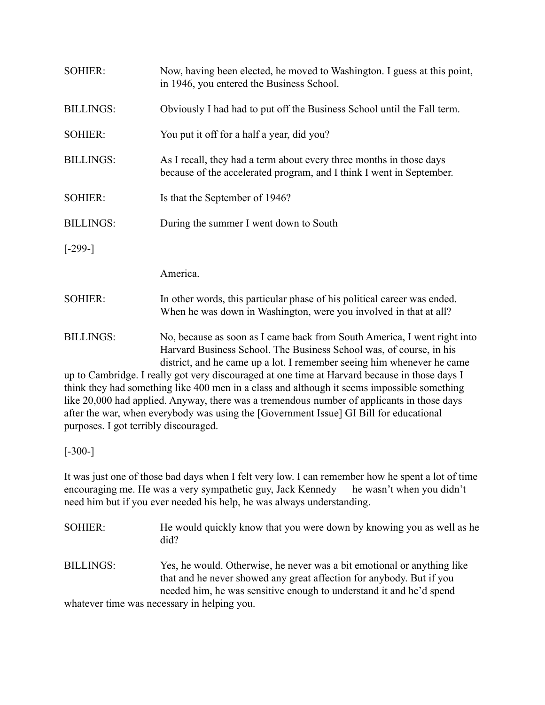| <b>SOHIER:</b>   | Now, having been elected, he moved to Washington. I guess at this point,<br>in 1946, you entered the Business School.                                                                                                     |
|------------------|---------------------------------------------------------------------------------------------------------------------------------------------------------------------------------------------------------------------------|
| <b>BILLINGS:</b> | Obviously I had had to put off the Business School until the Fall term.                                                                                                                                                   |
| <b>SOHIER:</b>   | You put it off for a half a year, did you?                                                                                                                                                                                |
| <b>BILLINGS:</b> | As I recall, they had a term about every three months in those days<br>because of the accelerated program, and I think I went in September.                                                                               |
| <b>SOHIER:</b>   | Is that the September of 1946?                                                                                                                                                                                            |
| <b>BILLINGS:</b> | During the summer I went down to South                                                                                                                                                                                    |
| $[-299-]$        |                                                                                                                                                                                                                           |
|                  | America.                                                                                                                                                                                                                  |
| <b>SOHIER:</b>   | In other words, this particular phase of his political career was ended.<br>When he was down in Washington, were you involved in that at all?                                                                             |
| <b>BILLINGS:</b> | No, because as soon as I came back from South America, I went right into<br>Harvard Business School. The Business School was, of course, in his<br>district, and he came up a lot. I remember seeing him whenever he came |

up to Cambridge. I really got very discouraged at one time at Harvard because in those days I think they had something like 400 men in a class and although it seems impossible something like 20,000 had applied. Anyway, there was a tremendous number of applicants in those days after the war, when everybody was using the [Government Issue] GI Bill for educational purposes. I got terribly discouraged.

[-300-]

It was just one of those bad days when I felt very low. I can remember how he spent a lot of time encouraging me. He was a very sympathetic guy, Jack Kennedy — he wasn't when you didn't need him but if you ever needed his help, he was always understanding.

| SOHIER:          | He would quickly know that you were down by knowing you as well as he<br>did?                                                                                                                                          |
|------------------|------------------------------------------------------------------------------------------------------------------------------------------------------------------------------------------------------------------------|
| <b>BILLINGS:</b> | Yes, he would. Otherwise, he never was a bit emotional or anything like<br>that and he never showed any great affection for anybody. But if you<br>needed him, he was sensitive enough to understand it and he'd spend |
|                  | whatever time was necessary in helping you                                                                                                                                                                             |

whatever time was necessary in helping you.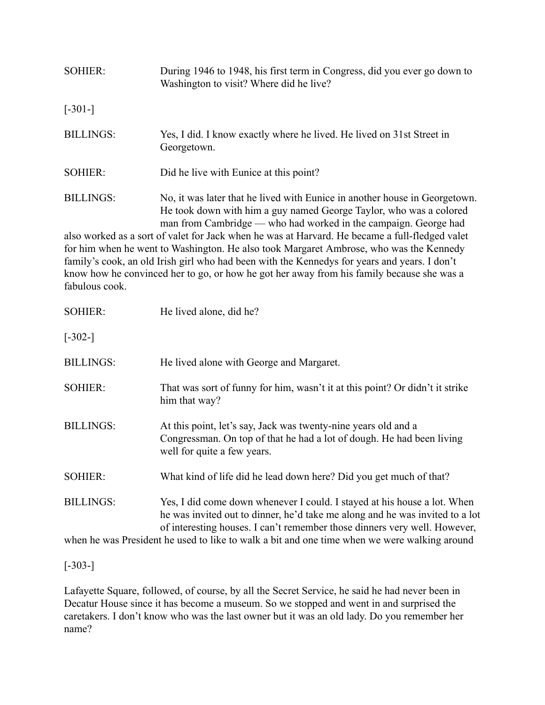| <b>SOHIER:</b>                     | During 1946 to 1948, his first term in Congress, did you ever go down to<br>Washington to visit? Where did he live?                                                                                                                                                                                                                                                                                                                                                                                                                                                                                          |
|------------------------------------|--------------------------------------------------------------------------------------------------------------------------------------------------------------------------------------------------------------------------------------------------------------------------------------------------------------------------------------------------------------------------------------------------------------------------------------------------------------------------------------------------------------------------------------------------------------------------------------------------------------|
| $[-301-]$                          |                                                                                                                                                                                                                                                                                                                                                                                                                                                                                                                                                                                                              |
| <b>BILLINGS:</b>                   | Yes, I did. I know exactly where he lived. He lived on 31st Street in<br>Georgetown.                                                                                                                                                                                                                                                                                                                                                                                                                                                                                                                         |
| <b>SOHIER:</b>                     | Did he live with Eunice at this point?                                                                                                                                                                                                                                                                                                                                                                                                                                                                                                                                                                       |
| <b>BILLINGS:</b><br>fabulous cook. | No, it was later that he lived with Eunice in another house in Georgetown.<br>He took down with him a guy named George Taylor, who was a colored<br>man from Cambridge — who had worked in the campaign. George had<br>also worked as a sort of valet for Jack when he was at Harvard. He became a full-fledged valet<br>for him when he went to Washington. He also took Margaret Ambrose, who was the Kennedy<br>family's cook, an old Irish girl who had been with the Kennedys for years and years. I don't<br>know how he convinced her to go, or how he got her away from his family because she was a |
| <b>SOHIER:</b>                     | He lived alone, did he?                                                                                                                                                                                                                                                                                                                                                                                                                                                                                                                                                                                      |
| $[-302-]$                          |                                                                                                                                                                                                                                                                                                                                                                                                                                                                                                                                                                                                              |
| <b>BILLINGS:</b>                   | He lived alone with George and Margaret.                                                                                                                                                                                                                                                                                                                                                                                                                                                                                                                                                                     |
| <b>SOHIER:</b>                     | That was sort of funny for him, wasn't it at this point? Or didn't it strike<br>him that way?                                                                                                                                                                                                                                                                                                                                                                                                                                                                                                                |
| <b>BILLINGS:</b>                   | At this point, let's say, Jack was twenty-nine years old and a<br>Congressman. On top of that he had a lot of dough. He had been living<br>well for quite a few years.                                                                                                                                                                                                                                                                                                                                                                                                                                       |
| <b>SOHIER:</b>                     | What kind of life did he lead down here? Did you get much of that?                                                                                                                                                                                                                                                                                                                                                                                                                                                                                                                                           |
| <b>BILLINGS:</b>                   | Yes, I did come down whenever I could. I stayed at his house a lot. When<br>he was invited out to dinner, he'd take me along and he was invited to a lot<br>of interesting houses. I can't remember those dinners very well. However,                                                                                                                                                                                                                                                                                                                                                                        |
|                                    | when he was President he used to like to walk a bit and one time when we were walking around                                                                                                                                                                                                                                                                                                                                                                                                                                                                                                                 |

[-303-]

Lafayette Square, followed, of course, by all the Secret Service, he said he had never been in Decatur House since it has become a museum. So we stopped and went in and surprised the caretakers. I don't know who was the last owner but it was an old lady. Do you remember her name?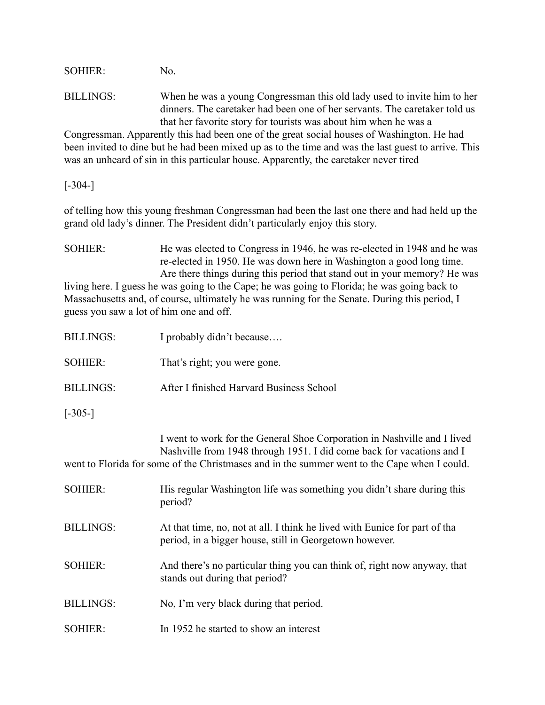SOHIER: No.

BILLINGS: When he was a young Congressman this old lady used to invite him to her dinners. The caretaker had been one of her servants. The caretaker told us that her favorite story for tourists was about him when he was a

Congressman. Apparently this had been one of the great social houses of Washington. He had been invited to dine but he had been mixed up as to the time and was the last guest to arrive. This was an unheard of sin in this particular house. Apparently, the caretaker never tired

### $[-304-]$

of telling how this young freshman Congressman had been the last one there and had held up the grand old lady's dinner. The President didn't particularly enjoy this story.

SOHIER: He was elected to Congress in 1946, he was re-elected in 1948 and he was re-elected in 1950. He was down here in Washington a good long time. Are there things during this period that stand out in your memory? He was living here. I guess he was going to the Cape; he was going to Florida; he was going back to Massachusetts and, of course, ultimately he was running for the Senate. During this period, I guess you saw a lot of him one and off.

| <b>BILLINGS:</b> | I probably didn't because                                                                                                                                                                                                                         |
|------------------|---------------------------------------------------------------------------------------------------------------------------------------------------------------------------------------------------------------------------------------------------|
| <b>SOHIER:</b>   | That's right; you were gone.                                                                                                                                                                                                                      |
| <b>BILLINGS:</b> | After I finished Harvard Business School                                                                                                                                                                                                          |
| $[-305-]$        |                                                                                                                                                                                                                                                   |
|                  | I went to work for the General Shoe Corporation in Nashville and I lived<br>Nashville from 1948 through 1951. I did come back for vacations and I<br>went to Florida for some of the Christmases and in the summer went to the Cape when I could. |
| <b>SOHIER:</b>   | His regular Washington life was something you didn't share during this<br>period?                                                                                                                                                                 |
| <b>BILLINGS:</b> | At that time, no, not at all. I think he lived with Eunice for part of tha<br>period, in a bigger house, still in Georgetown however.                                                                                                             |
| <b>SOHIER:</b>   | And there's no particular thing you can think of, right now anyway, that<br>stands out during that period?                                                                                                                                        |
| <b>BILLINGS:</b> | No, I'm very black during that period.                                                                                                                                                                                                            |
| <b>SOHIER:</b>   | In 1952 he started to show an interest                                                                                                                                                                                                            |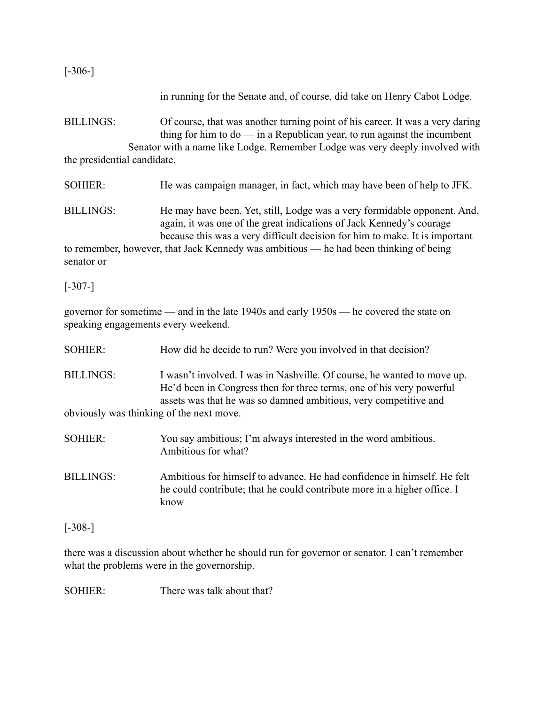[-306-]

in running for the Senate and, of course, did take on Henry Cabot Lodge.

BILLINGS: Of course, that was another turning point of his career. It was a very daring thing for him to do  $-$  in a Republican year, to run against the incumbent Senator with a name like Lodge. Remember Lodge was very deeply involved with the presidential candidate.

SOHIER: He was campaign manager, in fact, which may have been of help to JFK.

BILLINGS: He may have been. Yet, still, Lodge was a very formidable opponent. And, again, it was one of the great indications of Jack Kennedy's courage because this was a very difficult decision for him to make. It is important

to remember, however, that Jack Kennedy was ambitious — he had been thinking of being senator or

 $[-307-]$ 

governor for sometime — and in the late 1940s and early 1950s — he covered the state on speaking engagements every weekend.

| <b>SOHIER:</b>                           | How did he decide to run? Were you involved in that decision?                                                                                                                                                       |
|------------------------------------------|---------------------------------------------------------------------------------------------------------------------------------------------------------------------------------------------------------------------|
| <b>BILLINGS:</b>                         | I wasn't involved. I was in Nashville. Of course, he wanted to move up.<br>He'd been in Congress then for three terms, one of his very powerful<br>assets was that he was so damned ambitious, very competitive and |
| obviously was thinking of the next move. |                                                                                                                                                                                                                     |
| <b>SOHIER:</b>                           | You say ambitious; I'm always interested in the word ambitious.<br>Ambitious for what?                                                                                                                              |
| <b>BILLINGS:</b>                         | Ambitious for himself to advance. He had confidence in himself. He felt<br>he could contribute; that he could contribute more in a higher office. I<br>know                                                         |

[-308-]

there was a discussion about whether he should run for governor or senator. I can't remember what the problems were in the governorship.

SOHIER: There was talk about that?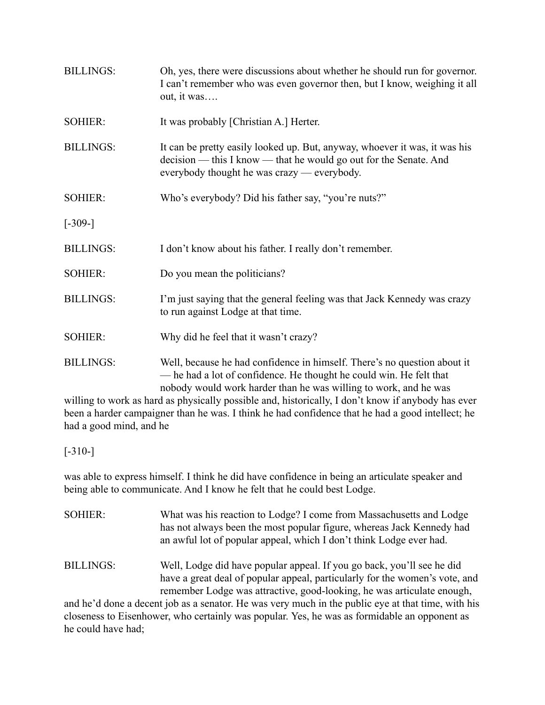| <b>BILLINGS:</b> | Oh, yes, there were discussions about whether he should run for governor.<br>I can't remember who was even governor then, but I know, weighing it all<br>out, it was                                                |
|------------------|---------------------------------------------------------------------------------------------------------------------------------------------------------------------------------------------------------------------|
| <b>SOHIER:</b>   | It was probably [Christian A.] Herter.                                                                                                                                                                              |
| <b>BILLINGS:</b> | It can be pretty easily looked up. But, anyway, whoever it was, it was his<br>decision — this I know — that he would go out for the Senate. And<br>everybody thought he was crazy — everybody.                      |
| <b>SOHIER:</b>   | Who's everybody? Did his father say, "you're nuts?"                                                                                                                                                                 |
| $[-309-]$        |                                                                                                                                                                                                                     |
| <b>BILLINGS:</b> | I don't know about his father. I really don't remember.                                                                                                                                                             |
| <b>SOHIER:</b>   | Do you mean the politicians?                                                                                                                                                                                        |
| <b>BILLINGS:</b> | I'm just saying that the general feeling was that Jack Kennedy was crazy<br>to run against Lodge at that time.                                                                                                      |
| <b>SOHIER:</b>   | Why did he feel that it wasn't crazy?                                                                                                                                                                               |
| <b>BILLINGS:</b> | Well, because he had confidence in himself. There's no question about it<br>- he had a lot of confidence. He thought he could win. He felt that<br>nobody would work harder than he was willing to work, and he was |

willing to work as hard as physically possible and, historically, I don't know if anybody has ever been a harder campaigner than he was. I think he had confidence that he had a good intellect; he had a good mind, and he

[-310-]

was able to express himself. I think he did have confidence in being an articulate speaker and being able to communicate. And I know he felt that he could best Lodge.

| <b>SOHIER:</b>   | What was his reaction to Lodge? I come from Massachusetts and Lodge<br>has not always been the most popular figure, whereas Jack Kennedy had<br>an awful lot of popular appeal, which I don't think Lodge ever had. |
|------------------|---------------------------------------------------------------------------------------------------------------------------------------------------------------------------------------------------------------------|
| <b>BILLINGS:</b> | Well, Lodge did have popular appeal. If you go back, you'll see he did<br>have a great deal of popular appeal, particularly for the women's vote, and                                                               |
|                  | remember Lodge was attractive, good-looking, he was articulate enough,                                                                                                                                              |
|                  | and he'd done a decent job as a senator. He was very much in the public eye at that time, with his                                                                                                                  |

closeness to Eisenhower, who certainly was popular. Yes, he was as formidable an opponent as he could have had;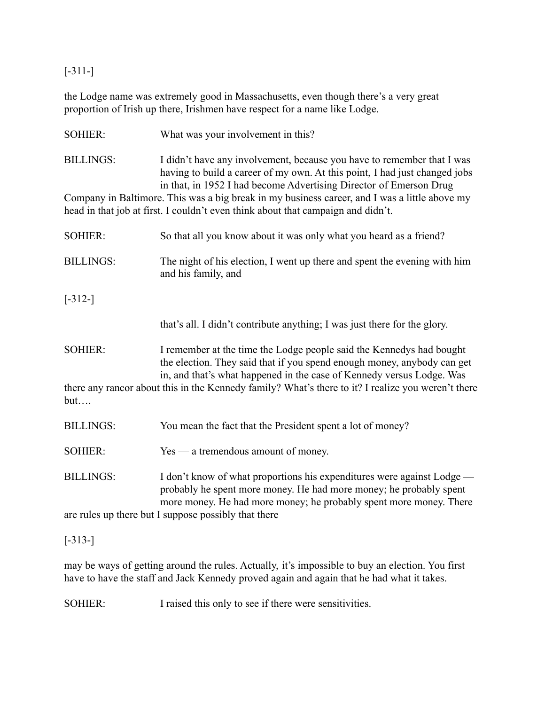[-311-]

the Lodge name was extremely good in Massachusetts, even though there's a very great proportion of Irish up there, Irishmen have respect for a name like Lodge.

| <b>SOHIER:</b>   | What was your involvement in this?                                                                                                                                                                                         |  |
|------------------|----------------------------------------------------------------------------------------------------------------------------------------------------------------------------------------------------------------------------|--|
| <b>BILLINGS:</b> | I didn't have any involvement, because you have to remember that I was<br>having to build a career of my own. At this point, I had just changed jobs<br>in that, in 1952 I had become Advertising Director of Emerson Drug |  |
|                  | Company in Baltimore. This was a big break in my business career, and I was a little above my<br>head in that job at first. I couldn't even think about that campaign and didn't.                                          |  |
| <b>SOHIER:</b>   | So that all you know about it was only what you heard as a friend?                                                                                                                                                         |  |
| <b>BILLINGS:</b> | The night of his election, I went up there and spent the evening with him<br>and his family, and                                                                                                                           |  |
| $[-312-]$        |                                                                                                                                                                                                                            |  |
|                  | that's all. I didn't contribute anything; I was just there for the glory.                                                                                                                                                  |  |
| <b>SOHIER:</b>   | I remember at the time the Lodge people said the Kennedys had bought<br>the election. They said that if you spend enough money, anybody can get<br>in, and that's what happened in the case of Kennedy versus Lodge. Was   |  |
| but              | there any rancor about this in the Kennedy family? What's there to it? I realize you weren't there                                                                                                                         |  |
| <b>BILLINGS:</b> | You mean the fact that the President spent a lot of money?                                                                                                                                                                 |  |
| <b>SOHIER:</b>   | Yes — a tremendous amount of money.                                                                                                                                                                                        |  |
| <b>BILLINGS:</b> | I don't know of what proportions his expenditures were against Lodge —<br>probably he spent more money. He had more money; he probably spent<br>more money. He had more money; he probably spent more money. There         |  |
|                  | are rules up there but I suppose possibly that there                                                                                                                                                                       |  |

[-313-]

may be ways of getting around the rules. Actually, it's impossible to buy an election. You first have to have the staff and Jack Kennedy proved again and again that he had what it takes.

SOHIER: I raised this only to see if there were sensitivities.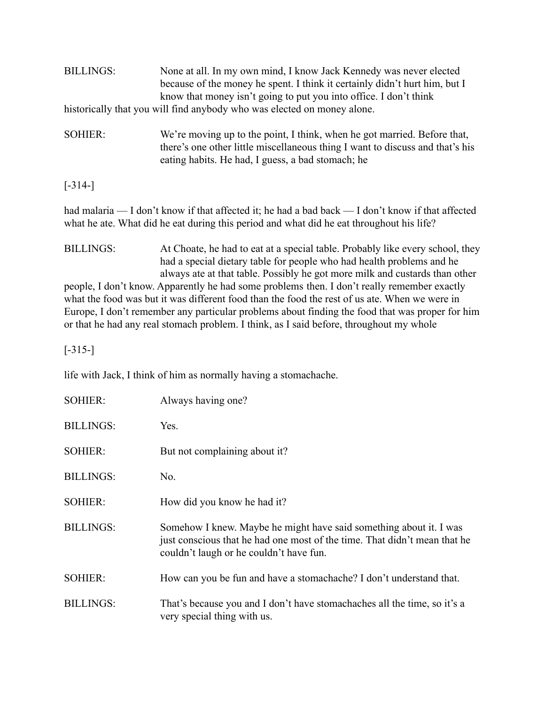| <b>BILLINGS:</b>                                                                                                                                                                              | None at all. In my own mind, I know Jack Kennedy was never elected<br>because of the money he spent. I think it certainly didn't hurt him, but I<br>know that money isn't going to put you into office. I don't think<br>historically that you will find anybody who was elected on money alone. |  |
|-----------------------------------------------------------------------------------------------------------------------------------------------------------------------------------------------|--------------------------------------------------------------------------------------------------------------------------------------------------------------------------------------------------------------------------------------------------------------------------------------------------|--|
| <b>SOHIER:</b>                                                                                                                                                                                | We're moving up to the point, I think, when he got married. Before that,<br>there's one other little miscellaneous thing I want to discuss and that's his<br>eating habits. He had, I guess, a bad stomach; he                                                                                   |  |
| $[-314-]$                                                                                                                                                                                     |                                                                                                                                                                                                                                                                                                  |  |
| had malaria — I don't know if that affected it; he had a bad back — I don't know if that affected<br>what he ate. What did he eat during this period and what did he eat throughout his life? |                                                                                                                                                                                                                                                                                                  |  |
| <b>BILLINGS:</b>                                                                                                                                                                              | At Choate, he had to eat at a special table. Probably like every school, they<br>had a special dietary table for people who had health problems and he<br>always ate at that table. Possibly he got more milk and custards than other                                                            |  |
|                                                                                                                                                                                               | people, I don't know. Apparently he had some problems then. I don't really remember exactly                                                                                                                                                                                                      |  |
|                                                                                                                                                                                               | what the food was but it was different food than the food the rest of us at e. When we were in                                                                                                                                                                                                   |  |
|                                                                                                                                                                                               | Europe, I don't remember any particular problems about finding the food that was proper for him                                                                                                                                                                                                  |  |
| or that he had any real stomach problem. I think, as I said before, throughout my whole                                                                                                       |                                                                                                                                                                                                                                                                                                  |  |

[-315-]

life with Jack, I think of him as normally having a stomachache.

| <b>SOHIER:</b>   | Always having one?                                                                                                                                                                         |
|------------------|--------------------------------------------------------------------------------------------------------------------------------------------------------------------------------------------|
| <b>BILLINGS:</b> | Yes.                                                                                                                                                                                       |
| <b>SOHIER:</b>   | But not complaining about it?                                                                                                                                                              |
| <b>BILLINGS:</b> | No.                                                                                                                                                                                        |
| <b>SOHIER:</b>   | How did you know he had it?                                                                                                                                                                |
| <b>BILLINGS:</b> | Somehow I knew. Maybe he might have said something about it. I was<br>just conscious that he had one most of the time. That didn't mean that he<br>couldn't laugh or he couldn't have fun. |
| <b>SOHIER:</b>   | How can you be fun and have a stomachache? I don't understand that.                                                                                                                        |
| <b>BILLINGS:</b> | That's because you and I don't have stomachaches all the time, so it's a<br>very special thing with us.                                                                                    |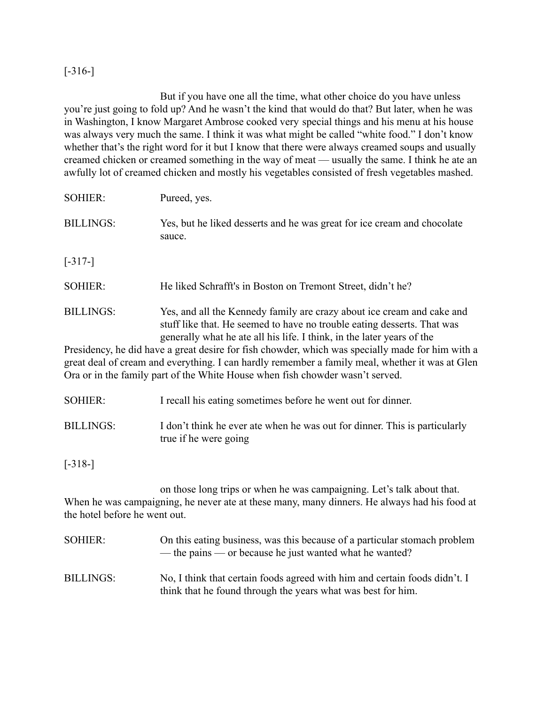### [-316-]

But if you have one all the time, what other choice do you have unless you're just going to fold up? And he wasn't the kind that would do that? But later, when he was in Washington, I know Margaret Ambrose cooked very special things and his menu at his house was always very much the same. I think it was what might be called "white food." I don't know whether that's the right word for it but I know that there were always creamed soups and usually creamed chicken or creamed something in the way of meat — usually the same. I think he ate an awfully lot of creamed chicken and mostly his vegetables consisted of fresh vegetables mashed.

| <b>SOHIER:</b>   | Pureed, yes.                                                                                                                                      |
|------------------|---------------------------------------------------------------------------------------------------------------------------------------------------|
| <b>BILLINGS:</b> | Yes, but he liked desserts and he was great for ice cream and chocolate<br>sauce.                                                                 |
| $[-317-]$        |                                                                                                                                                   |
| <b>SOHIER:</b>   | He liked Schrafft's in Boston on Tremont Street, didn't he?                                                                                       |
| <b>BILLINGS:</b> | Yes, and all the Kennedy family are crazy about ice cream and cake and<br>stuff like that. He seemed to have no trouble eating desserts. That was |

generally what he ate all his life. I think, in the later years of the Presidency, he did have a great desire for fish chowder, which was specially made for him with a great deal of cream and everything. I can hardly remember a family meal, whether it was at Glen Ora or in the family part of the White House when fish chowder wasn't served.

SOHIER: I recall his eating sometimes before he went out for dinner. BILLINGS: I don't think he ever ate when he was out for dinner. This is particularly

true if he were going

[-318-]

on those long trips or when he was campaigning. Let's talk about that. When he was campaigning, he never ate at these many, many dinners. He always had his food at the hotel before he went out.

| SOHIER:          | On this eating business, was this because of a particular stomach problem<br>— the pains — or because he just wanted what he wanted?       |
|------------------|--------------------------------------------------------------------------------------------------------------------------------------------|
| <b>BILLINGS:</b> | No, I think that certain foods agreed with him and certain foods didn't. I<br>think that he found through the years what was best for him. |